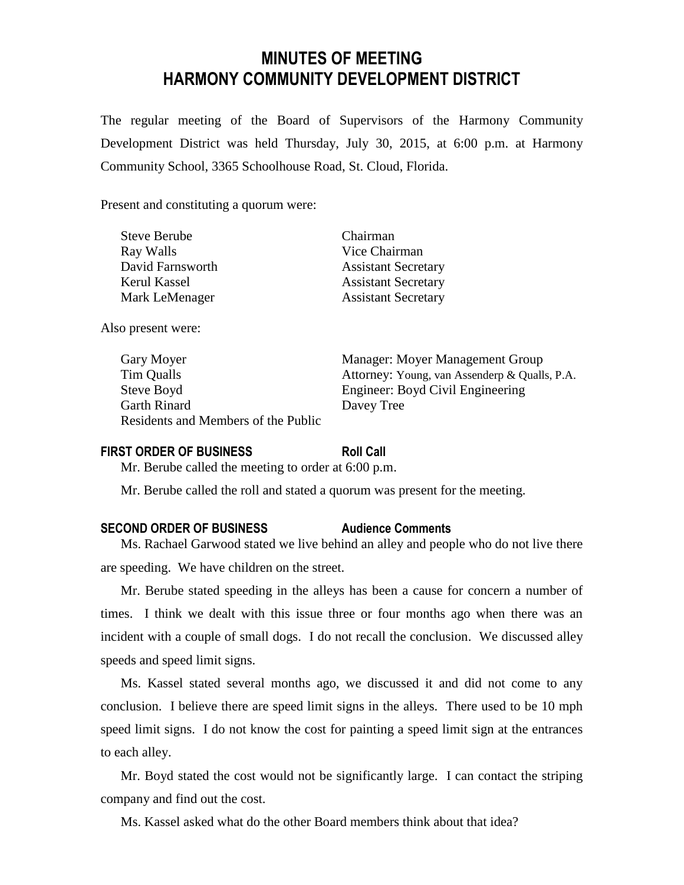# **MINUTES OF MEETING HARMONY COMMUNITY DEVELOPMENT DISTRICT**

The regular meeting of the Board of Supervisors of the Harmony Community Development District was held Thursday, July 30, 2015, at 6:00 p.m. at Harmony Community School, 3365 Schoolhouse Road, St. Cloud, Florida.

Present and constituting a quorum were:

| Chairman                   |
|----------------------------|
| Vice Chairman              |
| <b>Assistant Secretary</b> |
| <b>Assistant Secretary</b> |
| <b>Assistant Secretary</b> |
|                            |

Also present were:

| Gary Moyer                          | Manager: M  |
|-------------------------------------|-------------|
| Tim Qualls                          | Attorney: Y |
| Steve Boyd                          | Engineer: B |
| <b>Garth Rinard</b>                 | Davey Tree  |
| Residents and Members of the Public |             |

Gary Moyer Manager: Moyer Management Group ey: Young, van Assenderp & Qualls, P.A. eer: Boyd Civil Engineering

#### **FIRST ORDER OF BUSINESS Roll Call**

Mr. Berube called the meeting to order at 6:00 p.m.

Mr. Berube called the roll and stated a quorum was present for the meeting.

### **SECOND ORDER OF BUSINESS Audience Comments**

Ms. Rachael Garwood stated we live behind an alley and people who do not live there are speeding. We have children on the street.

Mr. Berube stated speeding in the alleys has been a cause for concern a number of times. I think we dealt with this issue three or four months ago when there was an incident with a couple of small dogs. I do not recall the conclusion. We discussed alley speeds and speed limit signs.

Ms. Kassel stated several months ago, we discussed it and did not come to any conclusion. I believe there are speed limit signs in the alleys. There used to be 10 mph speed limit signs. I do not know the cost for painting a speed limit sign at the entrances to each alley.

Mr. Boyd stated the cost would not be significantly large. I can contact the striping company and find out the cost.

Ms. Kassel asked what do the other Board members think about that idea?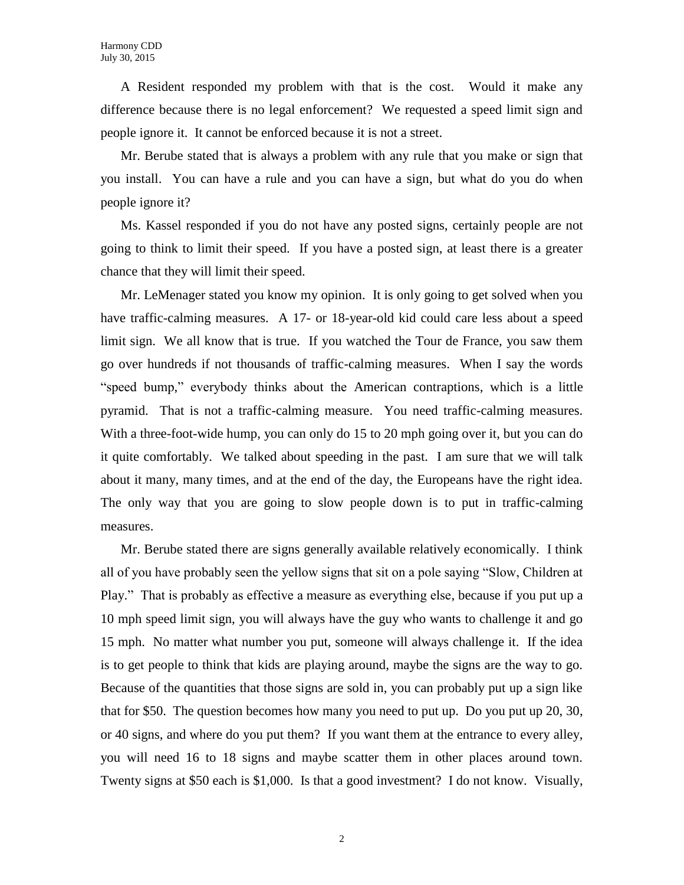A Resident responded my problem with that is the cost. Would it make any difference because there is no legal enforcement? We requested a speed limit sign and people ignore it. It cannot be enforced because it is not a street.

Mr. Berube stated that is always a problem with any rule that you make or sign that you install. You can have a rule and you can have a sign, but what do you do when people ignore it?

Ms. Kassel responded if you do not have any posted signs, certainly people are not going to think to limit their speed. If you have a posted sign, at least there is a greater chance that they will limit their speed.

Mr. LeMenager stated you know my opinion. It is only going to get solved when you have traffic-calming measures. A 17- or 18-year-old kid could care less about a speed limit sign. We all know that is true. If you watched the Tour de France, you saw them go over hundreds if not thousands of traffic-calming measures. When I say the words "speed bump," everybody thinks about the American contraptions, which is a little pyramid. That is not a traffic-calming measure. You need traffic-calming measures. With a three-foot-wide hump, you can only do 15 to 20 mph going over it, but you can do it quite comfortably. We talked about speeding in the past. I am sure that we will talk about it many, many times, and at the end of the day, the Europeans have the right idea. The only way that you are going to slow people down is to put in traffic-calming measures.

Mr. Berube stated there are signs generally available relatively economically. I think all of you have probably seen the yellow signs that sit on a pole saying "Slow, Children at Play." That is probably as effective a measure as everything else, because if you put up a 10 mph speed limit sign, you will always have the guy who wants to challenge it and go 15 mph. No matter what number you put, someone will always challenge it. If the idea is to get people to think that kids are playing around, maybe the signs are the way to go. Because of the quantities that those signs are sold in, you can probably put up a sign like that for \$50. The question becomes how many you need to put up. Do you put up 20, 30, or 40 signs, and where do you put them? If you want them at the entrance to every alley, you will need 16 to 18 signs and maybe scatter them in other places around town. Twenty signs at \$50 each is \$1,000. Is that a good investment? I do not know. Visually,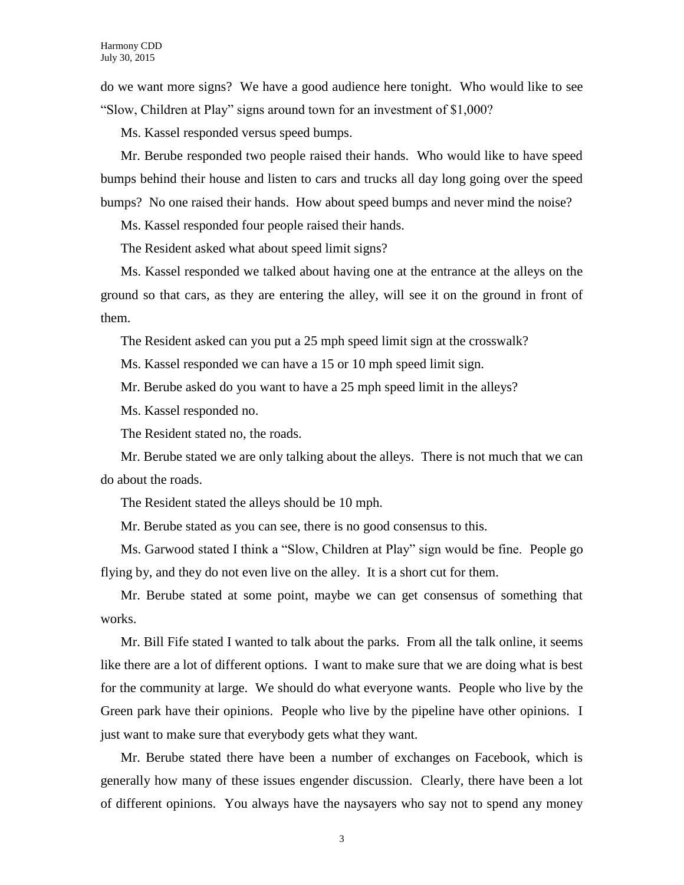do we want more signs? We have a good audience here tonight. Who would like to see "Slow, Children at Play" signs around town for an investment of \$1,000?

Ms. Kassel responded versus speed bumps.

Mr. Berube responded two people raised their hands. Who would like to have speed bumps behind their house and listen to cars and trucks all day long going over the speed bumps? No one raised their hands. How about speed bumps and never mind the noise?

Ms. Kassel responded four people raised their hands.

The Resident asked what about speed limit signs?

Ms. Kassel responded we talked about having one at the entrance at the alleys on the ground so that cars, as they are entering the alley, will see it on the ground in front of them.

The Resident asked can you put a 25 mph speed limit sign at the crosswalk?

Ms. Kassel responded we can have a 15 or 10 mph speed limit sign.

Mr. Berube asked do you want to have a 25 mph speed limit in the alleys?

Ms. Kassel responded no.

The Resident stated no, the roads.

Mr. Berube stated we are only talking about the alleys. There is not much that we can do about the roads.

The Resident stated the alleys should be 10 mph.

Mr. Berube stated as you can see, there is no good consensus to this.

Ms. Garwood stated I think a "Slow, Children at Play" sign would be fine. People go flying by, and they do not even live on the alley. It is a short cut for them.

Mr. Berube stated at some point, maybe we can get consensus of something that works.

Mr. Bill Fife stated I wanted to talk about the parks. From all the talk online, it seems like there are a lot of different options. I want to make sure that we are doing what is best for the community at large. We should do what everyone wants. People who live by the Green park have their opinions. People who live by the pipeline have other opinions. I just want to make sure that everybody gets what they want.

Mr. Berube stated there have been a number of exchanges on Facebook, which is generally how many of these issues engender discussion. Clearly, there have been a lot of different opinions. You always have the naysayers who say not to spend any money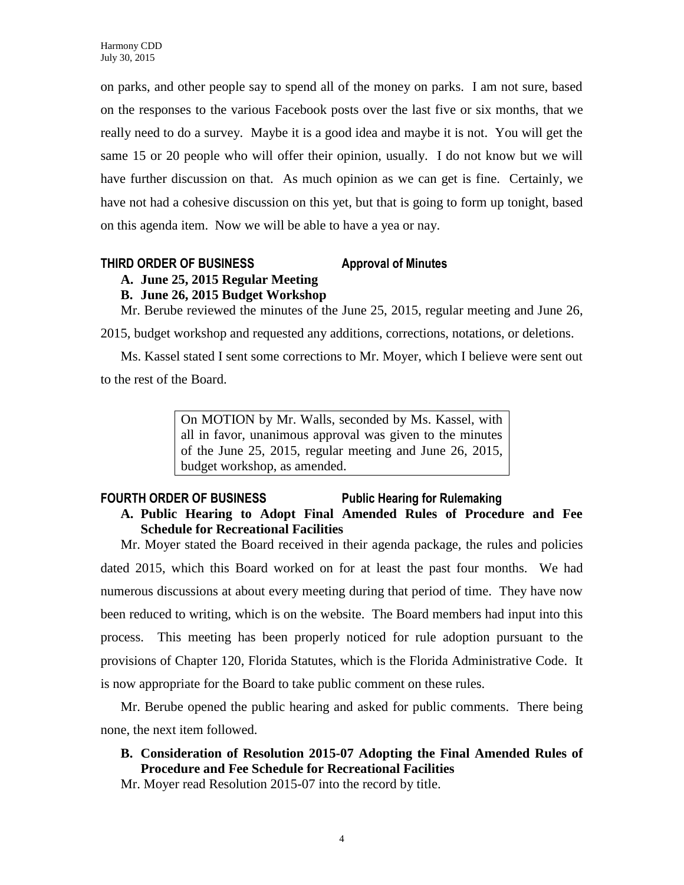on parks, and other people say to spend all of the money on parks. I am not sure, based on the responses to the various Facebook posts over the last five or six months, that we really need to do a survey. Maybe it is a good idea and maybe it is not. You will get the same 15 or 20 people who will offer their opinion, usually. I do not know but we will have further discussion on that. As much opinion as we can get is fine. Certainly, we have not had a cohesive discussion on this yet, but that is going to form up tonight, based on this agenda item. Now we will be able to have a yea or nay.

### **THIRD ORDER OF BUSINESS Approval of Minutes**

# **A. June 25, 2015 Regular Meeting**

## **B. June 26, 2015 Budget Workshop**

Mr. Berube reviewed the minutes of the June 25, 2015, regular meeting and June 26,

2015, budget workshop and requested any additions, corrections, notations, or deletions.

Ms. Kassel stated I sent some corrections to Mr. Moyer, which I believe were sent out to the rest of the Board.

> On MOTION by Mr. Walls, seconded by Ms. Kassel, with all in favor, unanimous approval was given to the minutes of the June 25, 2015, regular meeting and June 26, 2015, budget workshop, as amended.

### FOURTH ORDER OF BUSINESS Public Hearing for Rulemaking **A. Public Hearing to Adopt Final Amended Rules of Procedure and Fee Schedule for Recreational Facilities**

Mr. Moyer stated the Board received in their agenda package, the rules and policies dated 2015, which this Board worked on for at least the past four months. We had numerous discussions at about every meeting during that period of time. They have now been reduced to writing, which is on the website. The Board members had input into this process. This meeting has been properly noticed for rule adoption pursuant to the provisions of Chapter 120, Florida Statutes, which is the Florida Administrative Code. It is now appropriate for the Board to take public comment on these rules.

Mr. Berube opened the public hearing and asked for public comments. There being none, the next item followed.

**B. Consideration of Resolution 2015-07 Adopting the Final Amended Rules of Procedure and Fee Schedule for Recreational Facilities**

Mr. Moyer read Resolution 2015-07 into the record by title.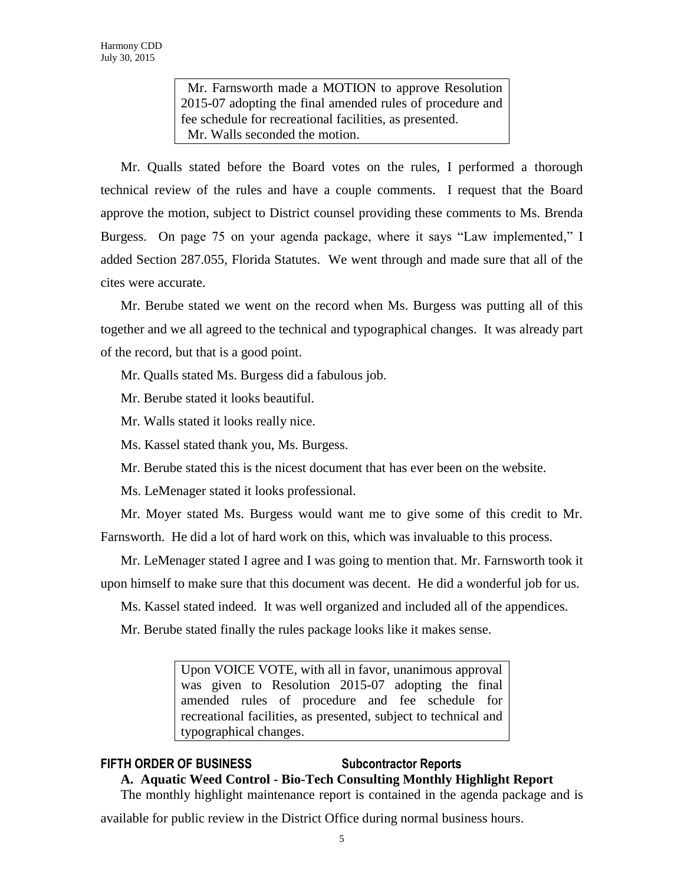Mr. Farnsworth made a MOTION to approve Resolution 2015-07 adopting the final amended rules of procedure and fee schedule for recreational facilities, as presented. Mr. Walls seconded the motion.

Mr. Qualls stated before the Board votes on the rules, I performed a thorough technical review of the rules and have a couple comments. I request that the Board approve the motion, subject to District counsel providing these comments to Ms. Brenda Burgess. On page 75 on your agenda package, where it says "Law implemented," I added Section 287.055, Florida Statutes. We went through and made sure that all of the cites were accurate.

Mr. Berube stated we went on the record when Ms. Burgess was putting all of this together and we all agreed to the technical and typographical changes. It was already part of the record, but that is a good point.

Mr. Qualls stated Ms. Burgess did a fabulous job.

Mr. Berube stated it looks beautiful.

Mr. Walls stated it looks really nice.

Ms. Kassel stated thank you, Ms. Burgess.

Mr. Berube stated this is the nicest document that has ever been on the website.

Ms. LeMenager stated it looks professional.

Mr. Moyer stated Ms. Burgess would want me to give some of this credit to Mr. Farnsworth. He did a lot of hard work on this, which was invaluable to this process.

Mr. LeMenager stated I agree and I was going to mention that. Mr. Farnsworth took it upon himself to make sure that this document was decent. He did a wonderful job for us.

Ms. Kassel stated indeed. It was well organized and included all of the appendices.

Mr. Berube stated finally the rules package looks like it makes sense.

Upon VOICE VOTE, with all in favor, unanimous approval was given to Resolution 2015-07 adopting the final amended rules of procedure and fee schedule for recreational facilities, as presented, subject to technical and typographical changes.

# **FIFTH ORDER OF BUSINESS Subcontractor Reports**

# **A. Aquatic Weed Control - Bio-Tech Consulting Monthly Highlight Report**

The monthly highlight maintenance report is contained in the agenda package and is

available for public review in the District Office during normal business hours.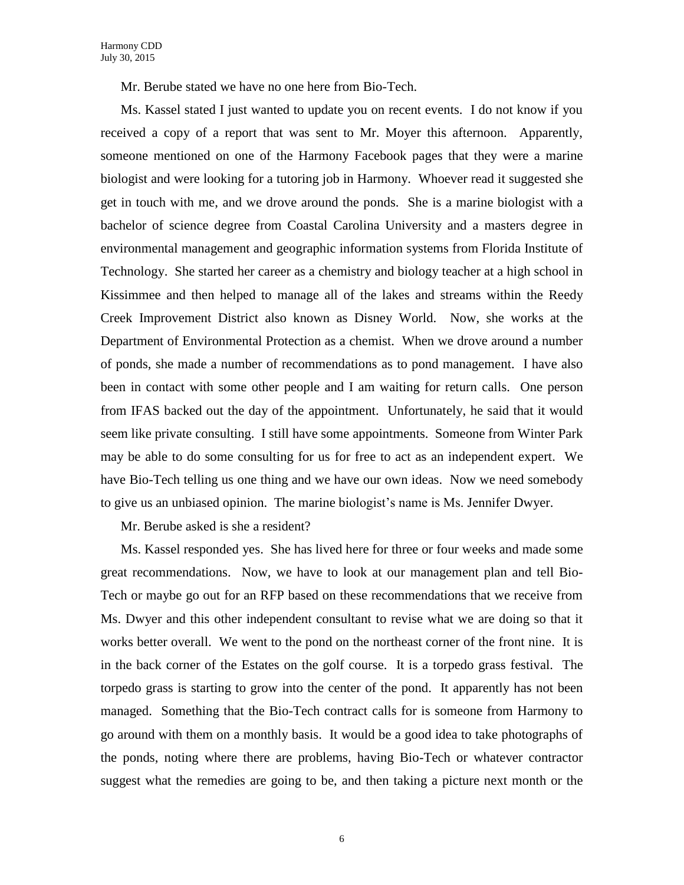Mr. Berube stated we have no one here from Bio-Tech.

Ms. Kassel stated I just wanted to update you on recent events. I do not know if you received a copy of a report that was sent to Mr. Moyer this afternoon. Apparently, someone mentioned on one of the Harmony Facebook pages that they were a marine biologist and were looking for a tutoring job in Harmony. Whoever read it suggested she get in touch with me, and we drove around the ponds. She is a marine biologist with a bachelor of science degree from Coastal Carolina University and a masters degree in environmental management and geographic information systems from Florida Institute of Technology. She started her career as a chemistry and biology teacher at a high school in Kissimmee and then helped to manage all of the lakes and streams within the Reedy Creek Improvement District also known as Disney World. Now, she works at the Department of Environmental Protection as a chemist. When we drove around a number of ponds, she made a number of recommendations as to pond management. I have also been in contact with some other people and I am waiting for return calls. One person from IFAS backed out the day of the appointment. Unfortunately, he said that it would seem like private consulting. I still have some appointments. Someone from Winter Park may be able to do some consulting for us for free to act as an independent expert. We have Bio-Tech telling us one thing and we have our own ideas. Now we need somebody to give us an unbiased opinion. The marine biologist's name is Ms. Jennifer Dwyer.

Mr. Berube asked is she a resident?

Ms. Kassel responded yes. She has lived here for three or four weeks and made some great recommendations. Now, we have to look at our management plan and tell Bio-Tech or maybe go out for an RFP based on these recommendations that we receive from Ms. Dwyer and this other independent consultant to revise what we are doing so that it works better overall. We went to the pond on the northeast corner of the front nine. It is in the back corner of the Estates on the golf course. It is a torpedo grass festival. The torpedo grass is starting to grow into the center of the pond. It apparently has not been managed. Something that the Bio-Tech contract calls for is someone from Harmony to go around with them on a monthly basis. It would be a good idea to take photographs of the ponds, noting where there are problems, having Bio-Tech or whatever contractor suggest what the remedies are going to be, and then taking a picture next month or the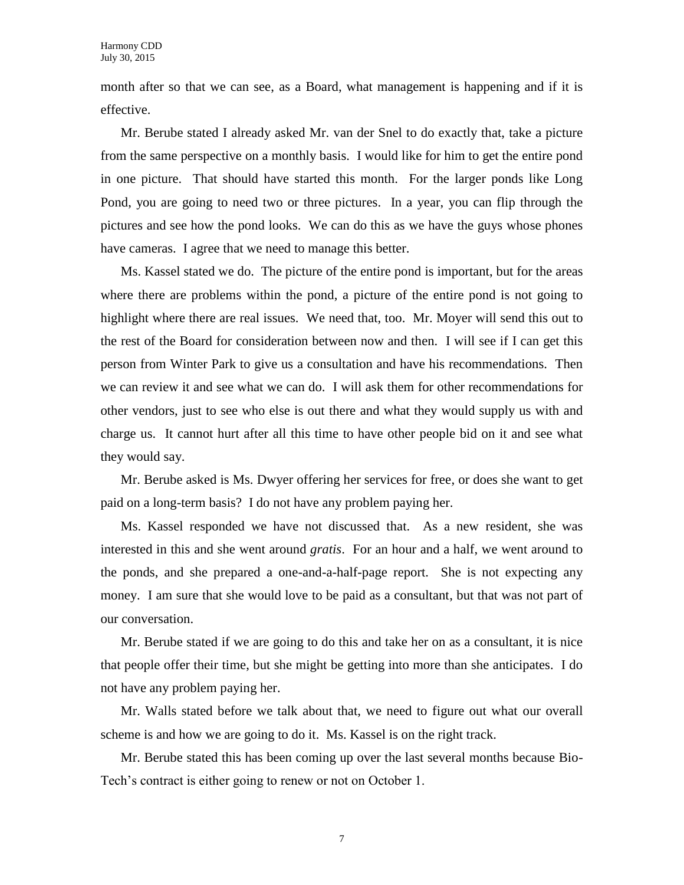month after so that we can see, as a Board, what management is happening and if it is effective.

Mr. Berube stated I already asked Mr. van der Snel to do exactly that, take a picture from the same perspective on a monthly basis. I would like for him to get the entire pond in one picture. That should have started this month. For the larger ponds like Long Pond, you are going to need two or three pictures. In a year, you can flip through the pictures and see how the pond looks. We can do this as we have the guys whose phones have cameras. I agree that we need to manage this better.

Ms. Kassel stated we do. The picture of the entire pond is important, but for the areas where there are problems within the pond, a picture of the entire pond is not going to highlight where there are real issues. We need that, too. Mr. Moyer will send this out to the rest of the Board for consideration between now and then. I will see if I can get this person from Winter Park to give us a consultation and have his recommendations. Then we can review it and see what we can do. I will ask them for other recommendations for other vendors, just to see who else is out there and what they would supply us with and charge us. It cannot hurt after all this time to have other people bid on it and see what they would say.

Mr. Berube asked is Ms. Dwyer offering her services for free, or does she want to get paid on a long-term basis? I do not have any problem paying her.

Ms. Kassel responded we have not discussed that. As a new resident, she was interested in this and she went around *gratis*. For an hour and a half, we went around to the ponds, and she prepared a one-and-a-half-page report. She is not expecting any money. I am sure that she would love to be paid as a consultant, but that was not part of our conversation.

Mr. Berube stated if we are going to do this and take her on as a consultant, it is nice that people offer their time, but she might be getting into more than she anticipates. I do not have any problem paying her.

Mr. Walls stated before we talk about that, we need to figure out what our overall scheme is and how we are going to do it. Ms. Kassel is on the right track.

Mr. Berube stated this has been coming up over the last several months because Bio-Tech's contract is either going to renew or not on October 1.

7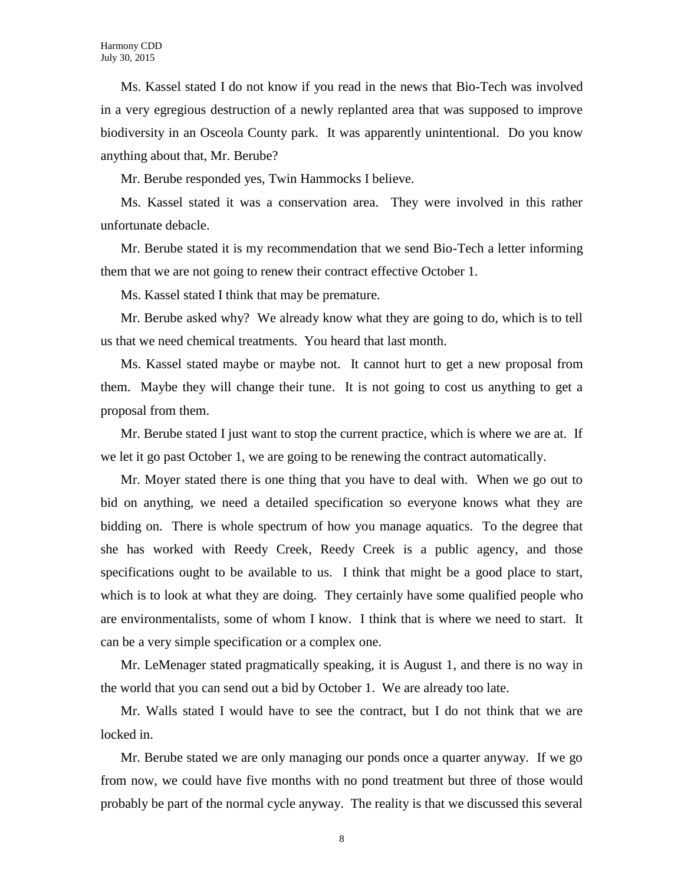Ms. Kassel stated I do not know if you read in the news that Bio-Tech was involved in a very egregious destruction of a newly replanted area that was supposed to improve biodiversity in an Osceola County park. It was apparently unintentional. Do you know anything about that, Mr. Berube?

Mr. Berube responded yes, Twin Hammocks I believe.

Ms. Kassel stated it was a conservation area. They were involved in this rather unfortunate debacle.

Mr. Berube stated it is my recommendation that we send Bio-Tech a letter informing them that we are not going to renew their contract effective October 1.

Ms. Kassel stated I think that may be premature.

Mr. Berube asked why? We already know what they are going to do, which is to tell us that we need chemical treatments. You heard that last month.

Ms. Kassel stated maybe or maybe not. It cannot hurt to get a new proposal from them. Maybe they will change their tune. It is not going to cost us anything to get a proposal from them.

Mr. Berube stated I just want to stop the current practice, which is where we are at. If we let it go past October 1, we are going to be renewing the contract automatically.

Mr. Moyer stated there is one thing that you have to deal with. When we go out to bid on anything, we need a detailed specification so everyone knows what they are bidding on. There is whole spectrum of how you manage aquatics. To the degree that she has worked with Reedy Creek, Reedy Creek is a public agency, and those specifications ought to be available to us. I think that might be a good place to start, which is to look at what they are doing. They certainly have some qualified people who are environmentalists, some of whom I know. I think that is where we need to start. It can be a very simple specification or a complex one.

Mr. LeMenager stated pragmatically speaking, it is August 1, and there is no way in the world that you can send out a bid by October 1. We are already too late.

Mr. Walls stated I would have to see the contract, but I do not think that we are locked in.

Mr. Berube stated we are only managing our ponds once a quarter anyway. If we go from now, we could have five months with no pond treatment but three of those would probably be part of the normal cycle anyway. The reality is that we discussed this several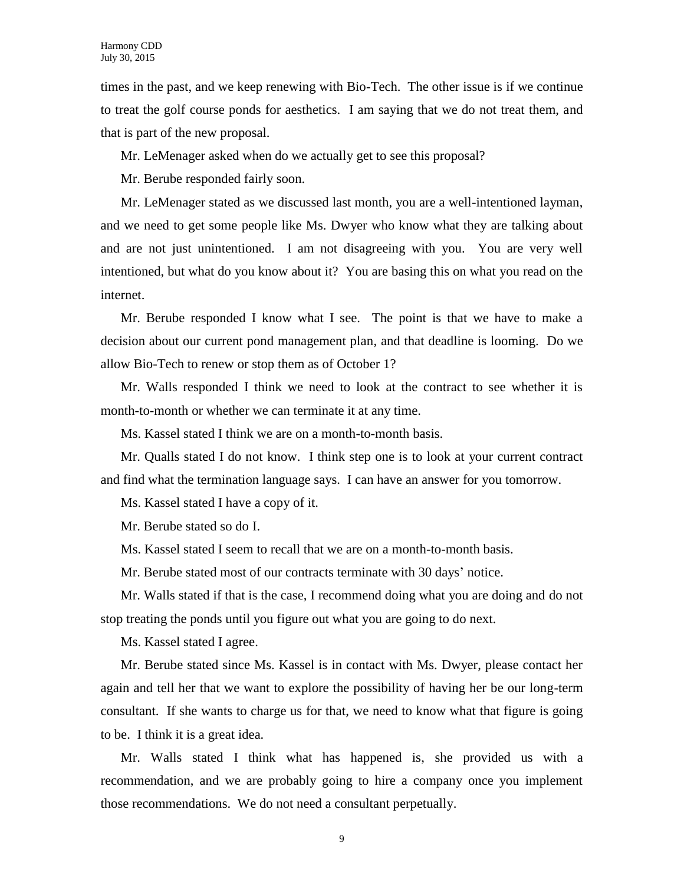times in the past, and we keep renewing with Bio-Tech. The other issue is if we continue to treat the golf course ponds for aesthetics. I am saying that we do not treat them, and that is part of the new proposal.

Mr. LeMenager asked when do we actually get to see this proposal?

Mr. Berube responded fairly soon.

Mr. LeMenager stated as we discussed last month, you are a well-intentioned layman, and we need to get some people like Ms. Dwyer who know what they are talking about and are not just unintentioned. I am not disagreeing with you. You are very well intentioned, but what do you know about it? You are basing this on what you read on the internet.

Mr. Berube responded I know what I see. The point is that we have to make a decision about our current pond management plan, and that deadline is looming. Do we allow Bio-Tech to renew or stop them as of October 1?

Mr. Walls responded I think we need to look at the contract to see whether it is month-to-month or whether we can terminate it at any time.

Ms. Kassel stated I think we are on a month-to-month basis.

Mr. Qualls stated I do not know. I think step one is to look at your current contract and find what the termination language says. I can have an answer for you tomorrow.

Ms. Kassel stated I have a copy of it.

Mr. Berube stated so do I.

Ms. Kassel stated I seem to recall that we are on a month-to-month basis.

Mr. Berube stated most of our contracts terminate with 30 days' notice.

Mr. Walls stated if that is the case, I recommend doing what you are doing and do not stop treating the ponds until you figure out what you are going to do next.

Ms. Kassel stated I agree.

Mr. Berube stated since Ms. Kassel is in contact with Ms. Dwyer, please contact her again and tell her that we want to explore the possibility of having her be our long-term consultant. If she wants to charge us for that, we need to know what that figure is going to be. I think it is a great idea.

Mr. Walls stated I think what has happened is, she provided us with a recommendation, and we are probably going to hire a company once you implement those recommendations. We do not need a consultant perpetually.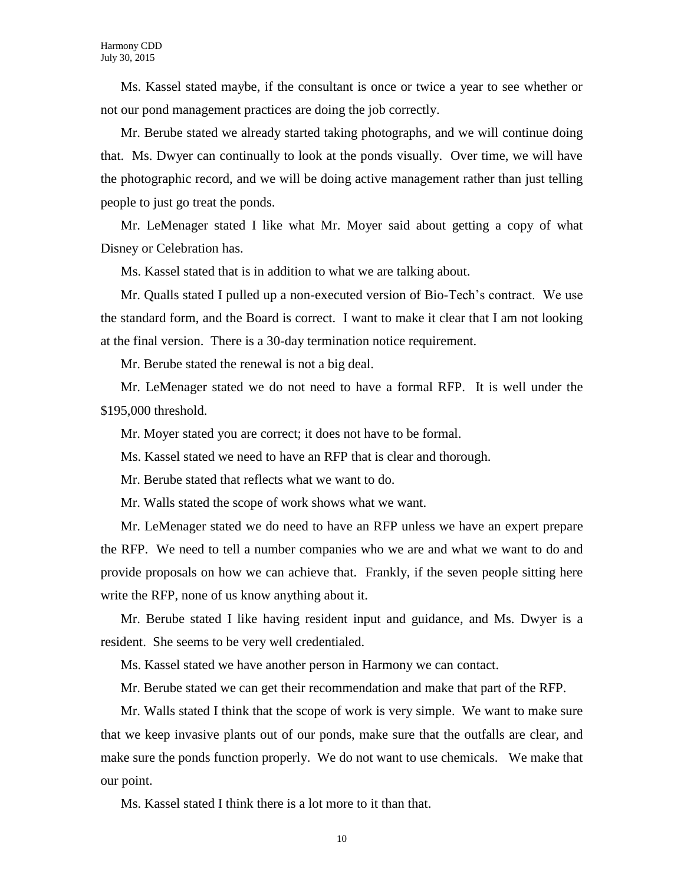Ms. Kassel stated maybe, if the consultant is once or twice a year to see whether or not our pond management practices are doing the job correctly.

Mr. Berube stated we already started taking photographs, and we will continue doing that. Ms. Dwyer can continually to look at the ponds visually. Over time, we will have the photographic record, and we will be doing active management rather than just telling people to just go treat the ponds.

Mr. LeMenager stated I like what Mr. Moyer said about getting a copy of what Disney or Celebration has.

Ms. Kassel stated that is in addition to what we are talking about.

Mr. Qualls stated I pulled up a non-executed version of Bio-Tech's contract. We use the standard form, and the Board is correct. I want to make it clear that I am not looking at the final version. There is a 30-day termination notice requirement.

Mr. Berube stated the renewal is not a big deal.

Mr. LeMenager stated we do not need to have a formal RFP. It is well under the \$195,000 threshold.

Mr. Moyer stated you are correct; it does not have to be formal.

Ms. Kassel stated we need to have an RFP that is clear and thorough.

Mr. Berube stated that reflects what we want to do.

Mr. Walls stated the scope of work shows what we want.

Mr. LeMenager stated we do need to have an RFP unless we have an expert prepare the RFP. We need to tell a number companies who we are and what we want to do and provide proposals on how we can achieve that. Frankly, if the seven people sitting here write the RFP, none of us know anything about it.

Mr. Berube stated I like having resident input and guidance, and Ms. Dwyer is a resident. She seems to be very well credentialed.

Ms. Kassel stated we have another person in Harmony we can contact.

Mr. Berube stated we can get their recommendation and make that part of the RFP.

Mr. Walls stated I think that the scope of work is very simple. We want to make sure that we keep invasive plants out of our ponds, make sure that the outfalls are clear, and make sure the ponds function properly. We do not want to use chemicals. We make that our point.

Ms. Kassel stated I think there is a lot more to it than that.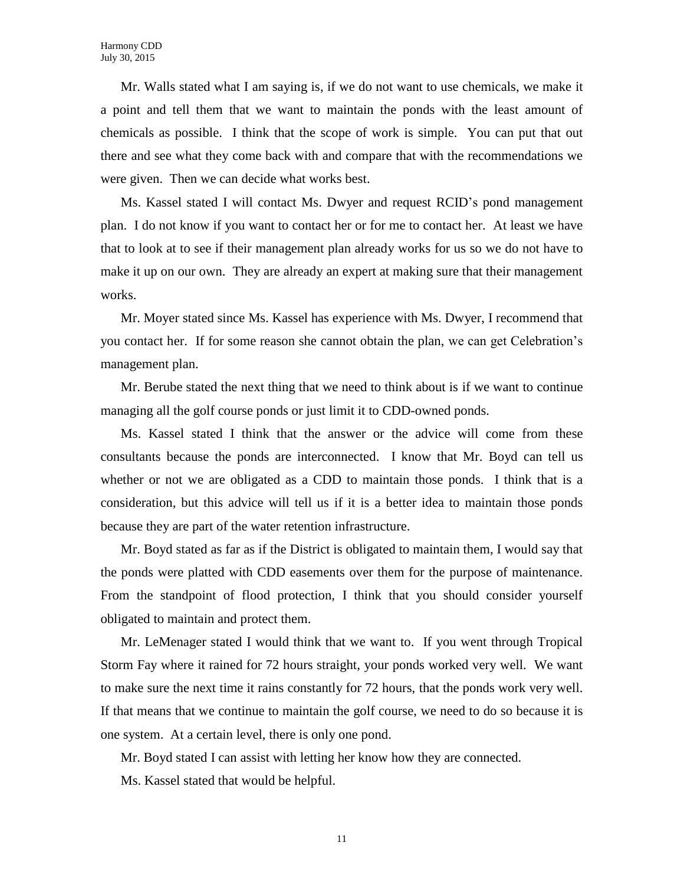Mr. Walls stated what I am saying is, if we do not want to use chemicals, we make it a point and tell them that we want to maintain the ponds with the least amount of chemicals as possible. I think that the scope of work is simple. You can put that out there and see what they come back with and compare that with the recommendations we were given. Then we can decide what works best.

Ms. Kassel stated I will contact Ms. Dwyer and request RCID's pond management plan. I do not know if you want to contact her or for me to contact her. At least we have that to look at to see if their management plan already works for us so we do not have to make it up on our own. They are already an expert at making sure that their management works.

Mr. Moyer stated since Ms. Kassel has experience with Ms. Dwyer, I recommend that you contact her. If for some reason she cannot obtain the plan, we can get Celebration's management plan.

Mr. Berube stated the next thing that we need to think about is if we want to continue managing all the golf course ponds or just limit it to CDD-owned ponds.

Ms. Kassel stated I think that the answer or the advice will come from these consultants because the ponds are interconnected. I know that Mr. Boyd can tell us whether or not we are obligated as a CDD to maintain those ponds. I think that is a consideration, but this advice will tell us if it is a better idea to maintain those ponds because they are part of the water retention infrastructure.

Mr. Boyd stated as far as if the District is obligated to maintain them, I would say that the ponds were platted with CDD easements over them for the purpose of maintenance. From the standpoint of flood protection, I think that you should consider yourself obligated to maintain and protect them.

Mr. LeMenager stated I would think that we want to. If you went through Tropical Storm Fay where it rained for 72 hours straight, your ponds worked very well. We want to make sure the next time it rains constantly for 72 hours, that the ponds work very well. If that means that we continue to maintain the golf course, we need to do so because it is one system. At a certain level, there is only one pond.

Mr. Boyd stated I can assist with letting her know how they are connected.

Ms. Kassel stated that would be helpful.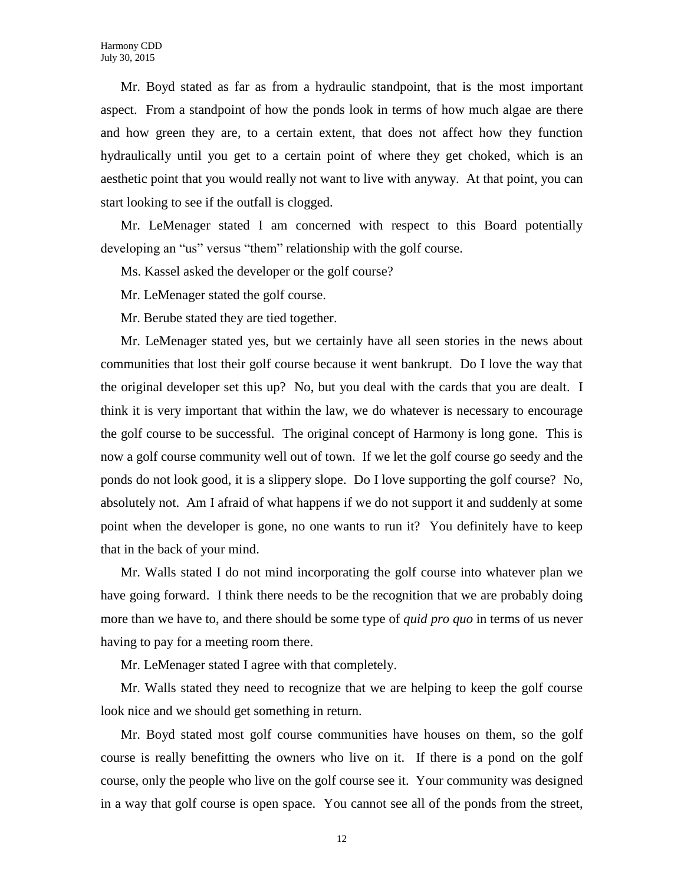Mr. Boyd stated as far as from a hydraulic standpoint, that is the most important aspect. From a standpoint of how the ponds look in terms of how much algae are there and how green they are, to a certain extent, that does not affect how they function hydraulically until you get to a certain point of where they get choked, which is an aesthetic point that you would really not want to live with anyway. At that point, you can start looking to see if the outfall is clogged.

Mr. LeMenager stated I am concerned with respect to this Board potentially developing an "us" versus "them" relationship with the golf course.

Ms. Kassel asked the developer or the golf course?

Mr. LeMenager stated the golf course.

Mr. Berube stated they are tied together.

Mr. LeMenager stated yes, but we certainly have all seen stories in the news about communities that lost their golf course because it went bankrupt. Do I love the way that the original developer set this up? No, but you deal with the cards that you are dealt. I think it is very important that within the law, we do whatever is necessary to encourage the golf course to be successful. The original concept of Harmony is long gone. This is now a golf course community well out of town. If we let the golf course go seedy and the ponds do not look good, it is a slippery slope. Do I love supporting the golf course? No, absolutely not. Am I afraid of what happens if we do not support it and suddenly at some point when the developer is gone, no one wants to run it? You definitely have to keep that in the back of your mind.

Mr. Walls stated I do not mind incorporating the golf course into whatever plan we have going forward. I think there needs to be the recognition that we are probably doing more than we have to, and there should be some type of *quid pro quo* in terms of us never having to pay for a meeting room there.

Mr. LeMenager stated I agree with that completely.

Mr. Walls stated they need to recognize that we are helping to keep the golf course look nice and we should get something in return.

Mr. Boyd stated most golf course communities have houses on them, so the golf course is really benefitting the owners who live on it. If there is a pond on the golf course, only the people who live on the golf course see it. Your community was designed in a way that golf course is open space. You cannot see all of the ponds from the street,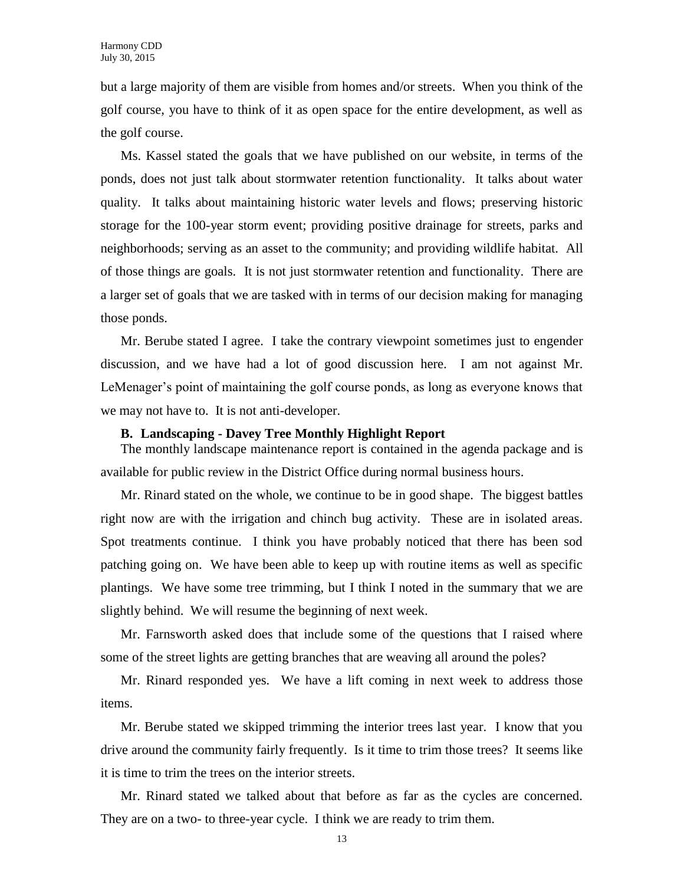but a large majority of them are visible from homes and/or streets. When you think of the golf course, you have to think of it as open space for the entire development, as well as the golf course.

Ms. Kassel stated the goals that we have published on our website, in terms of the ponds, does not just talk about stormwater retention functionality. It talks about water quality. It talks about maintaining historic water levels and flows; preserving historic storage for the 100-year storm event; providing positive drainage for streets, parks and neighborhoods; serving as an asset to the community; and providing wildlife habitat. All of those things are goals. It is not just stormwater retention and functionality. There are a larger set of goals that we are tasked with in terms of our decision making for managing those ponds.

Mr. Berube stated I agree. I take the contrary viewpoint sometimes just to engender discussion, and we have had a lot of good discussion here. I am not against Mr. LeMenager's point of maintaining the golf course ponds, as long as everyone knows that we may not have to. It is not anti-developer.

#### **B. Landscaping - Davey Tree Monthly Highlight Report**

The monthly landscape maintenance report is contained in the agenda package and is available for public review in the District Office during normal business hours.

Mr. Rinard stated on the whole, we continue to be in good shape. The biggest battles right now are with the irrigation and chinch bug activity. These are in isolated areas. Spot treatments continue. I think you have probably noticed that there has been sod patching going on. We have been able to keep up with routine items as well as specific plantings. We have some tree trimming, but I think I noted in the summary that we are slightly behind. We will resume the beginning of next week.

Mr. Farnsworth asked does that include some of the questions that I raised where some of the street lights are getting branches that are weaving all around the poles?

Mr. Rinard responded yes. We have a lift coming in next week to address those items.

Mr. Berube stated we skipped trimming the interior trees last year. I know that you drive around the community fairly frequently. Is it time to trim those trees? It seems like it is time to trim the trees on the interior streets.

Mr. Rinard stated we talked about that before as far as the cycles are concerned. They are on a two- to three-year cycle. I think we are ready to trim them.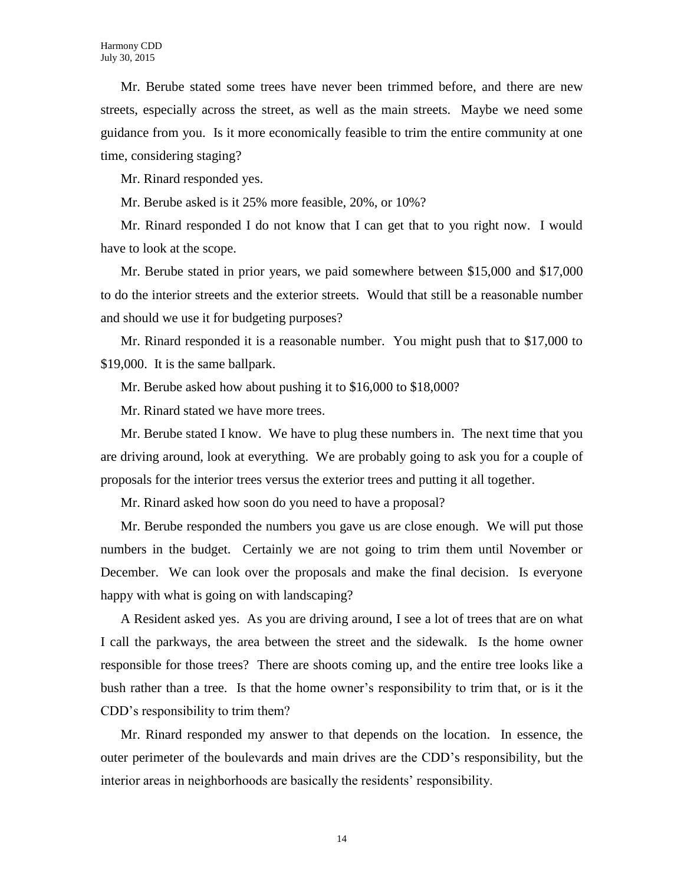Mr. Berube stated some trees have never been trimmed before, and there are new streets, especially across the street, as well as the main streets. Maybe we need some guidance from you. Is it more economically feasible to trim the entire community at one time, considering staging?

Mr. Rinard responded yes.

Mr. Berube asked is it 25% more feasible, 20%, or 10%?

Mr. Rinard responded I do not know that I can get that to you right now. I would have to look at the scope.

Mr. Berube stated in prior years, we paid somewhere between \$15,000 and \$17,000 to do the interior streets and the exterior streets. Would that still be a reasonable number and should we use it for budgeting purposes?

Mr. Rinard responded it is a reasonable number. You might push that to \$17,000 to \$19,000. It is the same ballpark.

Mr. Berube asked how about pushing it to \$16,000 to \$18,000?

Mr. Rinard stated we have more trees.

Mr. Berube stated I know. We have to plug these numbers in. The next time that you are driving around, look at everything. We are probably going to ask you for a couple of proposals for the interior trees versus the exterior trees and putting it all together.

Mr. Rinard asked how soon do you need to have a proposal?

Mr. Berube responded the numbers you gave us are close enough. We will put those numbers in the budget. Certainly we are not going to trim them until November or December. We can look over the proposals and make the final decision. Is everyone happy with what is going on with landscaping?

A Resident asked yes. As you are driving around, I see a lot of trees that are on what I call the parkways, the area between the street and the sidewalk. Is the home owner responsible for those trees? There are shoots coming up, and the entire tree looks like a bush rather than a tree. Is that the home owner's responsibility to trim that, or is it the CDD's responsibility to trim them?

Mr. Rinard responded my answer to that depends on the location. In essence, the outer perimeter of the boulevards and main drives are the CDD's responsibility, but the interior areas in neighborhoods are basically the residents' responsibility.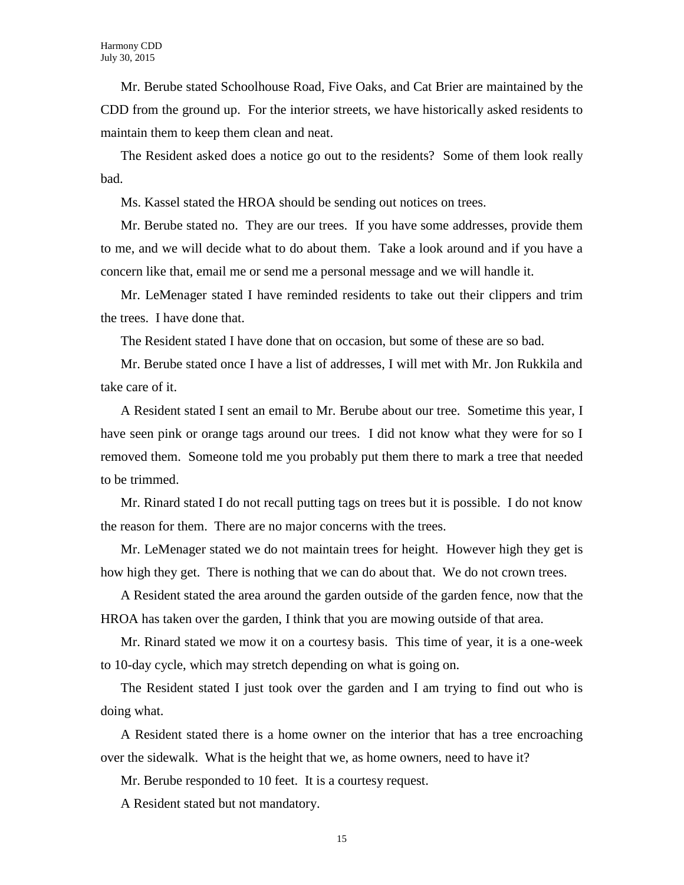Mr. Berube stated Schoolhouse Road, Five Oaks, and Cat Brier are maintained by the CDD from the ground up. For the interior streets, we have historically asked residents to maintain them to keep them clean and neat.

The Resident asked does a notice go out to the residents? Some of them look really bad.

Ms. Kassel stated the HROA should be sending out notices on trees.

Mr. Berube stated no. They are our trees. If you have some addresses, provide them to me, and we will decide what to do about them. Take a look around and if you have a concern like that, email me or send me a personal message and we will handle it.

Mr. LeMenager stated I have reminded residents to take out their clippers and trim the trees. I have done that.

The Resident stated I have done that on occasion, but some of these are so bad.

Mr. Berube stated once I have a list of addresses, I will met with Mr. Jon Rukkila and take care of it.

A Resident stated I sent an email to Mr. Berube about our tree. Sometime this year, I have seen pink or orange tags around our trees. I did not know what they were for so I removed them. Someone told me you probably put them there to mark a tree that needed to be trimmed.

Mr. Rinard stated I do not recall putting tags on trees but it is possible. I do not know the reason for them. There are no major concerns with the trees.

Mr. LeMenager stated we do not maintain trees for height. However high they get is how high they get. There is nothing that we can do about that. We do not crown trees.

A Resident stated the area around the garden outside of the garden fence, now that the HROA has taken over the garden, I think that you are mowing outside of that area.

Mr. Rinard stated we mow it on a courtesy basis. This time of year, it is a one-week to 10-day cycle, which may stretch depending on what is going on.

The Resident stated I just took over the garden and I am trying to find out who is doing what.

A Resident stated there is a home owner on the interior that has a tree encroaching over the sidewalk. What is the height that we, as home owners, need to have it?

Mr. Berube responded to 10 feet. It is a courtesy request.

A Resident stated but not mandatory.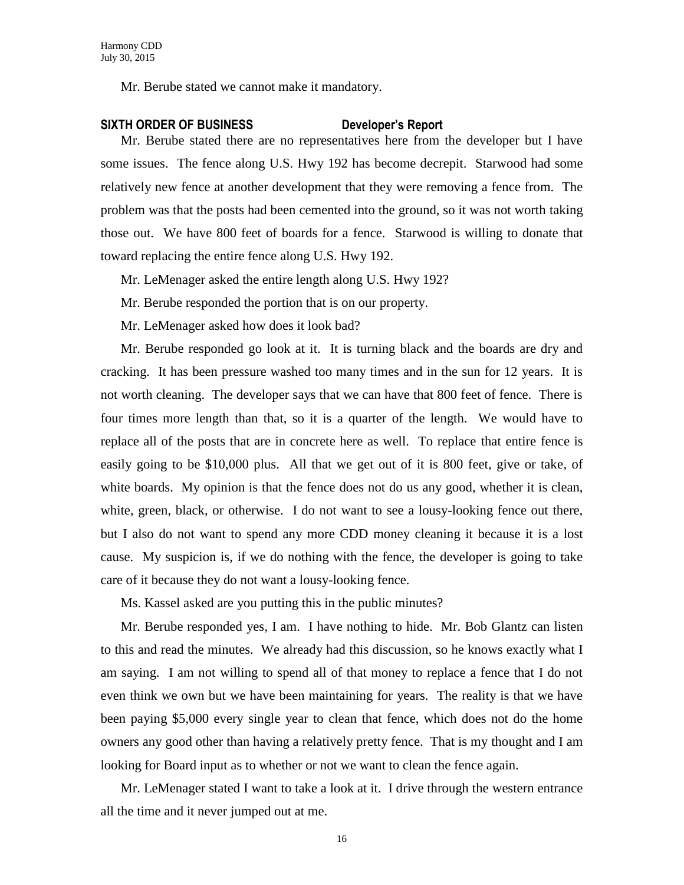Mr. Berube stated we cannot make it mandatory.

#### **SIXTH ORDER OF BUSINESS Developer's Report**

Mr. Berube stated there are no representatives here from the developer but I have some issues. The fence along U.S. Hwy 192 has become decrepit. Starwood had some relatively new fence at another development that they were removing a fence from. The problem was that the posts had been cemented into the ground, so it was not worth taking those out. We have 800 feet of boards for a fence. Starwood is willing to donate that toward replacing the entire fence along U.S. Hwy 192.

Mr. LeMenager asked the entire length along U.S. Hwy 192?

Mr. Berube responded the portion that is on our property.

Mr. LeMenager asked how does it look bad?

Mr. Berube responded go look at it. It is turning black and the boards are dry and cracking. It has been pressure washed too many times and in the sun for 12 years. It is not worth cleaning. The developer says that we can have that 800 feet of fence. There is four times more length than that, so it is a quarter of the length. We would have to replace all of the posts that are in concrete here as well. To replace that entire fence is easily going to be \$10,000 plus. All that we get out of it is 800 feet, give or take, of white boards. My opinion is that the fence does not do us any good, whether it is clean, white, green, black, or otherwise. I do not want to see a lousy-looking fence out there, but I also do not want to spend any more CDD money cleaning it because it is a lost cause. My suspicion is, if we do nothing with the fence, the developer is going to take care of it because they do not want a lousy-looking fence.

Ms. Kassel asked are you putting this in the public minutes?

Mr. Berube responded yes, I am. I have nothing to hide. Mr. Bob Glantz can listen to this and read the minutes. We already had this discussion, so he knows exactly what I am saying. I am not willing to spend all of that money to replace a fence that I do not even think we own but we have been maintaining for years. The reality is that we have been paying \$5,000 every single year to clean that fence, which does not do the home owners any good other than having a relatively pretty fence. That is my thought and I am looking for Board input as to whether or not we want to clean the fence again.

Mr. LeMenager stated I want to take a look at it. I drive through the western entrance all the time and it never jumped out at me.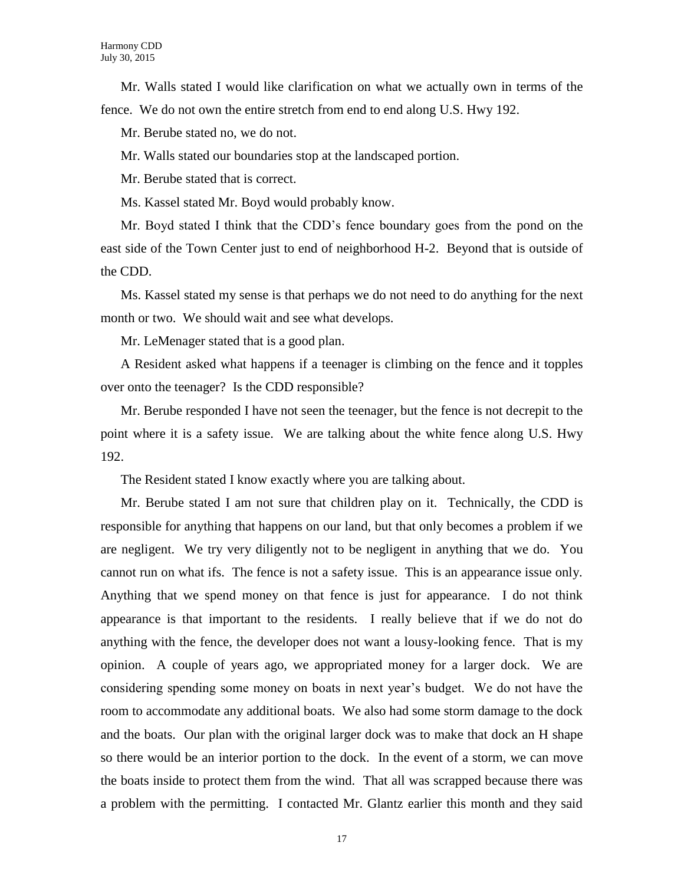Mr. Walls stated I would like clarification on what we actually own in terms of the fence. We do not own the entire stretch from end to end along U.S. Hwy 192.

Mr. Berube stated no, we do not.

Mr. Walls stated our boundaries stop at the landscaped portion.

Mr. Berube stated that is correct.

Ms. Kassel stated Mr. Boyd would probably know.

Mr. Boyd stated I think that the CDD's fence boundary goes from the pond on the east side of the Town Center just to end of neighborhood H-2. Beyond that is outside of the CDD.

Ms. Kassel stated my sense is that perhaps we do not need to do anything for the next month or two. We should wait and see what develops.

Mr. LeMenager stated that is a good plan.

A Resident asked what happens if a teenager is climbing on the fence and it topples over onto the teenager? Is the CDD responsible?

Mr. Berube responded I have not seen the teenager, but the fence is not decrepit to the point where it is a safety issue. We are talking about the white fence along U.S. Hwy 192.

The Resident stated I know exactly where you are talking about.

Mr. Berube stated I am not sure that children play on it. Technically, the CDD is responsible for anything that happens on our land, but that only becomes a problem if we are negligent. We try very diligently not to be negligent in anything that we do. You cannot run on what ifs. The fence is not a safety issue. This is an appearance issue only. Anything that we spend money on that fence is just for appearance. I do not think appearance is that important to the residents. I really believe that if we do not do anything with the fence, the developer does not want a lousy-looking fence. That is my opinion. A couple of years ago, we appropriated money for a larger dock. We are considering spending some money on boats in next year's budget. We do not have the room to accommodate any additional boats. We also had some storm damage to the dock and the boats. Our plan with the original larger dock was to make that dock an H shape so there would be an interior portion to the dock. In the event of a storm, we can move the boats inside to protect them from the wind. That all was scrapped because there was a problem with the permitting. I contacted Mr. Glantz earlier this month and they said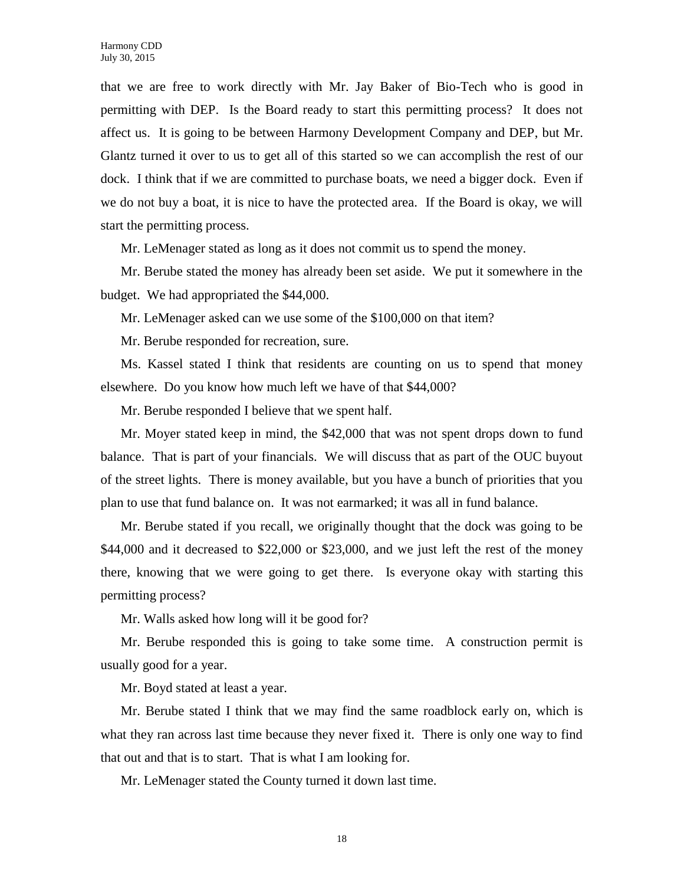that we are free to work directly with Mr. Jay Baker of Bio-Tech who is good in permitting with DEP. Is the Board ready to start this permitting process? It does not affect us. It is going to be between Harmony Development Company and DEP, but Mr. Glantz turned it over to us to get all of this started so we can accomplish the rest of our dock. I think that if we are committed to purchase boats, we need a bigger dock. Even if we do not buy a boat, it is nice to have the protected area. If the Board is okay, we will start the permitting process.

Mr. LeMenager stated as long as it does not commit us to spend the money.

Mr. Berube stated the money has already been set aside. We put it somewhere in the budget. We had appropriated the \$44,000.

Mr. LeMenager asked can we use some of the \$100,000 on that item?

Mr. Berube responded for recreation, sure.

Ms. Kassel stated I think that residents are counting on us to spend that money elsewhere. Do you know how much left we have of that \$44,000?

Mr. Berube responded I believe that we spent half.

Mr. Moyer stated keep in mind, the \$42,000 that was not spent drops down to fund balance. That is part of your financials. We will discuss that as part of the OUC buyout of the street lights. There is money available, but you have a bunch of priorities that you plan to use that fund balance on. It was not earmarked; it was all in fund balance.

Mr. Berube stated if you recall, we originally thought that the dock was going to be \$44,000 and it decreased to \$22,000 or \$23,000, and we just left the rest of the money there, knowing that we were going to get there. Is everyone okay with starting this permitting process?

Mr. Walls asked how long will it be good for?

Mr. Berube responded this is going to take some time. A construction permit is usually good for a year.

Mr. Boyd stated at least a year.

Mr. Berube stated I think that we may find the same roadblock early on, which is what they ran across last time because they never fixed it. There is only one way to find that out and that is to start. That is what I am looking for.

Mr. LeMenager stated the County turned it down last time.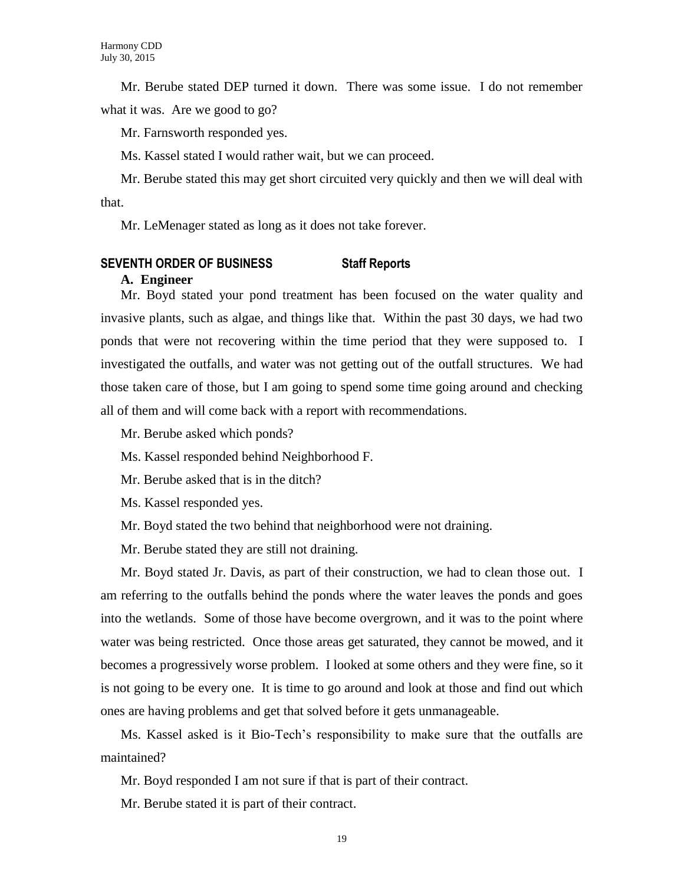Mr. Berube stated DEP turned it down. There was some issue. I do not remember what it was. Are we good to go?

Mr. Farnsworth responded yes.

Ms. Kassel stated I would rather wait, but we can proceed.

Mr. Berube stated this may get short circuited very quickly and then we will deal with that.

Mr. LeMenager stated as long as it does not take forever.

#### **SEVENTH ORDER OF BUSINESS Staff Reports**

#### **A. Engineer**

Mr. Boyd stated your pond treatment has been focused on the water quality and invasive plants, such as algae, and things like that. Within the past 30 days, we had two ponds that were not recovering within the time period that they were supposed to. I investigated the outfalls, and water was not getting out of the outfall structures. We had those taken care of those, but I am going to spend some time going around and checking all of them and will come back with a report with recommendations.

Mr. Berube asked which ponds?

Ms. Kassel responded behind Neighborhood F.

Mr. Berube asked that is in the ditch?

Ms. Kassel responded yes.

Mr. Boyd stated the two behind that neighborhood were not draining.

Mr. Berube stated they are still not draining.

Mr. Boyd stated Jr. Davis, as part of their construction, we had to clean those out. I am referring to the outfalls behind the ponds where the water leaves the ponds and goes into the wetlands. Some of those have become overgrown, and it was to the point where water was being restricted. Once those areas get saturated, they cannot be mowed, and it becomes a progressively worse problem. I looked at some others and they were fine, so it is not going to be every one. It is time to go around and look at those and find out which ones are having problems and get that solved before it gets unmanageable.

Ms. Kassel asked is it Bio-Tech's responsibility to make sure that the outfalls are maintained?

Mr. Boyd responded I am not sure if that is part of their contract.

Mr. Berube stated it is part of their contract.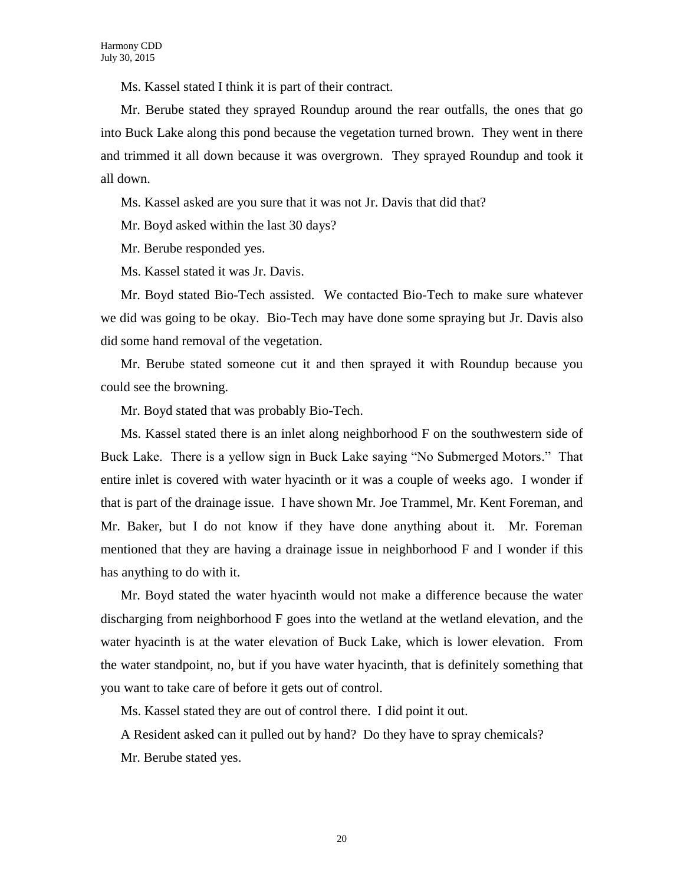Ms. Kassel stated I think it is part of their contract.

Mr. Berube stated they sprayed Roundup around the rear outfalls, the ones that go into Buck Lake along this pond because the vegetation turned brown. They went in there and trimmed it all down because it was overgrown. They sprayed Roundup and took it all down.

Ms. Kassel asked are you sure that it was not Jr. Davis that did that?

Mr. Boyd asked within the last 30 days?

Mr. Berube responded yes.

Ms. Kassel stated it was Jr. Davis.

Mr. Boyd stated Bio-Tech assisted. We contacted Bio-Tech to make sure whatever we did was going to be okay. Bio-Tech may have done some spraying but Jr. Davis also did some hand removal of the vegetation.

Mr. Berube stated someone cut it and then sprayed it with Roundup because you could see the browning.

Mr. Boyd stated that was probably Bio-Tech.

Ms. Kassel stated there is an inlet along neighborhood F on the southwestern side of Buck Lake. There is a yellow sign in Buck Lake saying "No Submerged Motors." That entire inlet is covered with water hyacinth or it was a couple of weeks ago. I wonder if that is part of the drainage issue. I have shown Mr. Joe Trammel, Mr. Kent Foreman, and Mr. Baker, but I do not know if they have done anything about it. Mr. Foreman mentioned that they are having a drainage issue in neighborhood F and I wonder if this has anything to do with it.

Mr. Boyd stated the water hyacinth would not make a difference because the water discharging from neighborhood F goes into the wetland at the wetland elevation, and the water hyacinth is at the water elevation of Buck Lake, which is lower elevation. From the water standpoint, no, but if you have water hyacinth, that is definitely something that you want to take care of before it gets out of control.

Ms. Kassel stated they are out of control there. I did point it out.

A Resident asked can it pulled out by hand? Do they have to spray chemicals?

Mr. Berube stated yes.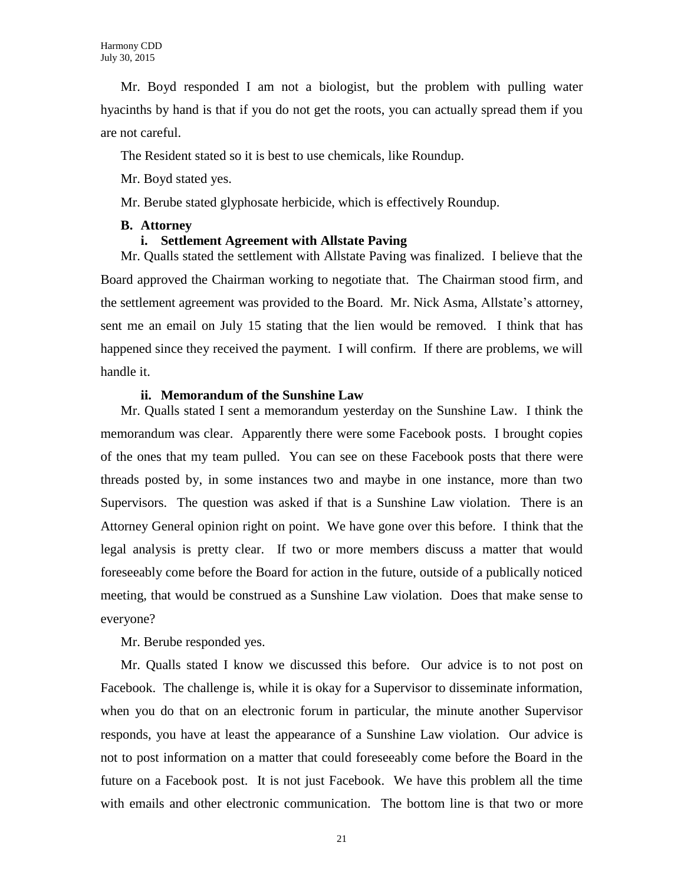Mr. Boyd responded I am not a biologist, but the problem with pulling water hyacinths by hand is that if you do not get the roots, you can actually spread them if you are not careful.

The Resident stated so it is best to use chemicals, like Roundup.

Mr. Boyd stated yes.

Mr. Berube stated glyphosate herbicide, which is effectively Roundup.

#### **B. Attorney**

#### **i. Settlement Agreement with Allstate Paving**

Mr. Qualls stated the settlement with Allstate Paving was finalized. I believe that the Board approved the Chairman working to negotiate that. The Chairman stood firm, and the settlement agreement was provided to the Board. Mr. Nick Asma, Allstate's attorney, sent me an email on July 15 stating that the lien would be removed. I think that has happened since they received the payment. I will confirm. If there are problems, we will handle it.

#### **ii. Memorandum of the Sunshine Law**

Mr. Qualls stated I sent a memorandum yesterday on the Sunshine Law. I think the memorandum was clear. Apparently there were some Facebook posts. I brought copies of the ones that my team pulled. You can see on these Facebook posts that there were threads posted by, in some instances two and maybe in one instance, more than two Supervisors. The question was asked if that is a Sunshine Law violation. There is an Attorney General opinion right on point. We have gone over this before. I think that the legal analysis is pretty clear. If two or more members discuss a matter that would foreseeably come before the Board for action in the future, outside of a publically noticed meeting, that would be construed as a Sunshine Law violation. Does that make sense to everyone?

Mr. Berube responded yes.

Mr. Qualls stated I know we discussed this before. Our advice is to not post on Facebook. The challenge is, while it is okay for a Supervisor to disseminate information, when you do that on an electronic forum in particular, the minute another Supervisor responds, you have at least the appearance of a Sunshine Law violation. Our advice is not to post information on a matter that could foreseeably come before the Board in the future on a Facebook post. It is not just Facebook. We have this problem all the time with emails and other electronic communication. The bottom line is that two or more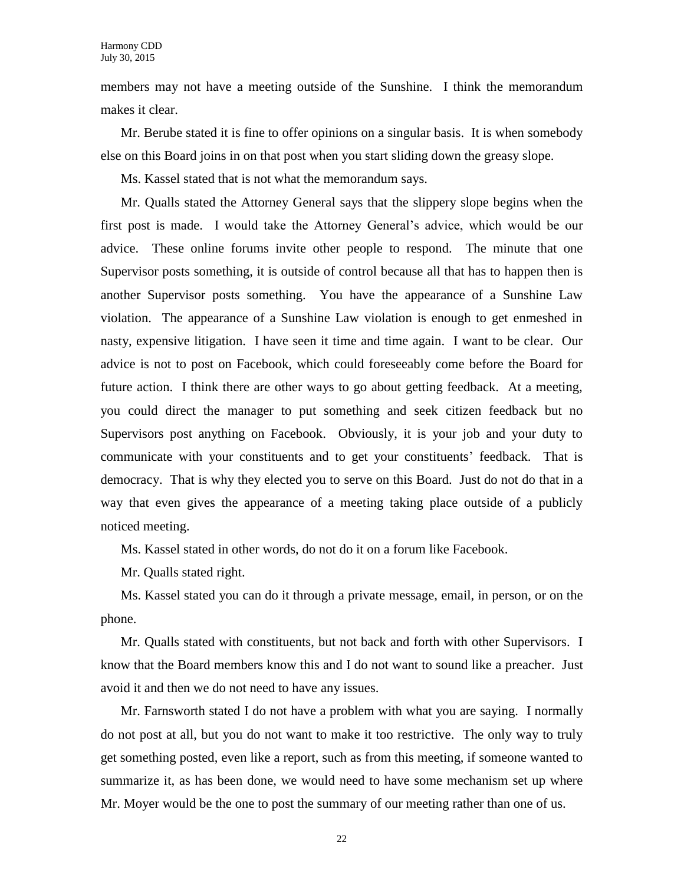members may not have a meeting outside of the Sunshine. I think the memorandum makes it clear.

Mr. Berube stated it is fine to offer opinions on a singular basis. It is when somebody else on this Board joins in on that post when you start sliding down the greasy slope.

Ms. Kassel stated that is not what the memorandum says.

Mr. Qualls stated the Attorney General says that the slippery slope begins when the first post is made. I would take the Attorney General's advice, which would be our advice. These online forums invite other people to respond. The minute that one Supervisor posts something, it is outside of control because all that has to happen then is another Supervisor posts something. You have the appearance of a Sunshine Law violation. The appearance of a Sunshine Law violation is enough to get enmeshed in nasty, expensive litigation. I have seen it time and time again. I want to be clear. Our advice is not to post on Facebook, which could foreseeably come before the Board for future action. I think there are other ways to go about getting feedback. At a meeting, you could direct the manager to put something and seek citizen feedback but no Supervisors post anything on Facebook. Obviously, it is your job and your duty to communicate with your constituents and to get your constituents' feedback. That is democracy. That is why they elected you to serve on this Board. Just do not do that in a way that even gives the appearance of a meeting taking place outside of a publicly noticed meeting.

Ms. Kassel stated in other words, do not do it on a forum like Facebook.

Mr. Qualls stated right.

Ms. Kassel stated you can do it through a private message, email, in person, or on the phone.

Mr. Qualls stated with constituents, but not back and forth with other Supervisors. I know that the Board members know this and I do not want to sound like a preacher. Just avoid it and then we do not need to have any issues.

Mr. Farnsworth stated I do not have a problem with what you are saying. I normally do not post at all, but you do not want to make it too restrictive. The only way to truly get something posted, even like a report, such as from this meeting, if someone wanted to summarize it, as has been done, we would need to have some mechanism set up where Mr. Moyer would be the one to post the summary of our meeting rather than one of us.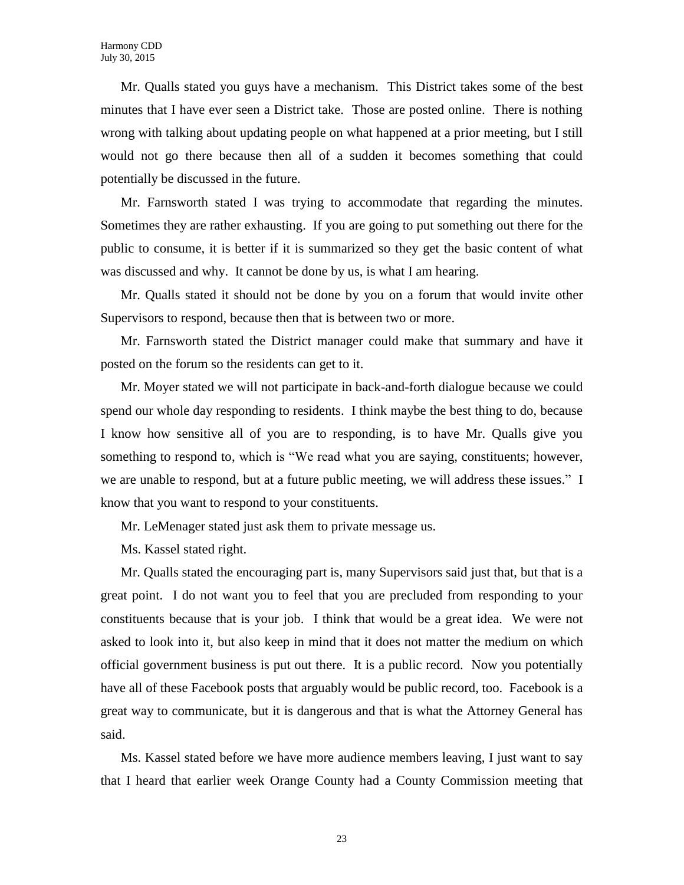Mr. Qualls stated you guys have a mechanism. This District takes some of the best minutes that I have ever seen a District take. Those are posted online. There is nothing wrong with talking about updating people on what happened at a prior meeting, but I still would not go there because then all of a sudden it becomes something that could potentially be discussed in the future.

Mr. Farnsworth stated I was trying to accommodate that regarding the minutes. Sometimes they are rather exhausting. If you are going to put something out there for the public to consume, it is better if it is summarized so they get the basic content of what was discussed and why. It cannot be done by us, is what I am hearing.

Mr. Qualls stated it should not be done by you on a forum that would invite other Supervisors to respond, because then that is between two or more.

Mr. Farnsworth stated the District manager could make that summary and have it posted on the forum so the residents can get to it.

Mr. Moyer stated we will not participate in back-and-forth dialogue because we could spend our whole day responding to residents. I think maybe the best thing to do, because I know how sensitive all of you are to responding, is to have Mr. Qualls give you something to respond to, which is "We read what you are saying, constituents; however, we are unable to respond, but at a future public meeting, we will address these issues." I know that you want to respond to your constituents.

Mr. LeMenager stated just ask them to private message us.

Ms. Kassel stated right.

Mr. Qualls stated the encouraging part is, many Supervisors said just that, but that is a great point. I do not want you to feel that you are precluded from responding to your constituents because that is your job. I think that would be a great idea. We were not asked to look into it, but also keep in mind that it does not matter the medium on which official government business is put out there. It is a public record. Now you potentially have all of these Facebook posts that arguably would be public record, too. Facebook is a great way to communicate, but it is dangerous and that is what the Attorney General has said.

Ms. Kassel stated before we have more audience members leaving, I just want to say that I heard that earlier week Orange County had a County Commission meeting that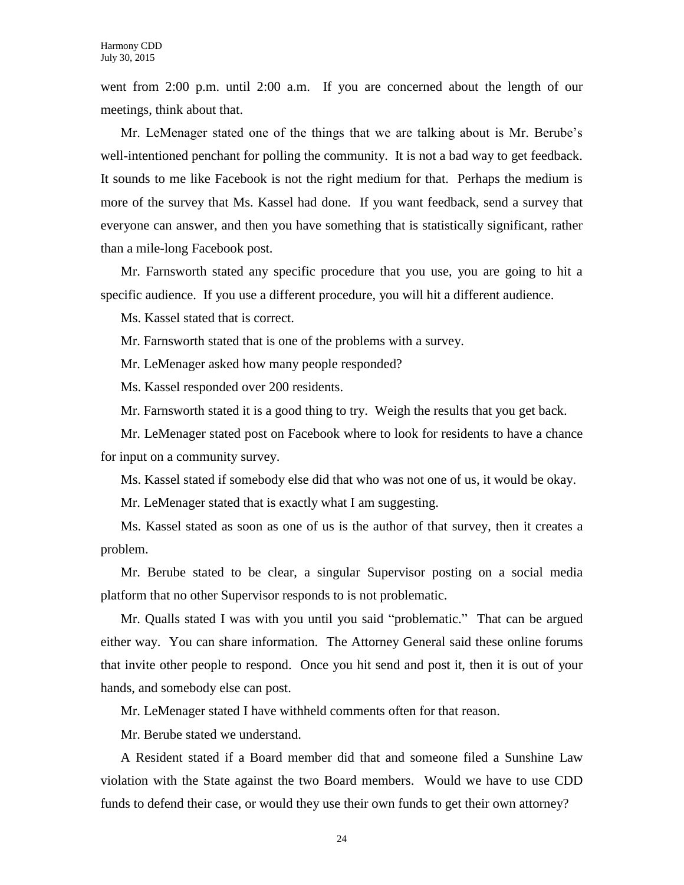went from 2:00 p.m. until 2:00 a.m. If you are concerned about the length of our meetings, think about that.

Mr. LeMenager stated one of the things that we are talking about is Mr. Berube's well-intentioned penchant for polling the community. It is not a bad way to get feedback. It sounds to me like Facebook is not the right medium for that. Perhaps the medium is more of the survey that Ms. Kassel had done. If you want feedback, send a survey that everyone can answer, and then you have something that is statistically significant, rather than a mile-long Facebook post.

Mr. Farnsworth stated any specific procedure that you use, you are going to hit a specific audience. If you use a different procedure, you will hit a different audience.

Ms. Kassel stated that is correct.

Mr. Farnsworth stated that is one of the problems with a survey.

Mr. LeMenager asked how many people responded?

Ms. Kassel responded over 200 residents.

Mr. Farnsworth stated it is a good thing to try. Weigh the results that you get back.

Mr. LeMenager stated post on Facebook where to look for residents to have a chance for input on a community survey.

Ms. Kassel stated if somebody else did that who was not one of us, it would be okay.

Mr. LeMenager stated that is exactly what I am suggesting.

Ms. Kassel stated as soon as one of us is the author of that survey, then it creates a problem.

Mr. Berube stated to be clear, a singular Supervisor posting on a social media platform that no other Supervisor responds to is not problematic.

Mr. Qualls stated I was with you until you said "problematic." That can be argued either way. You can share information. The Attorney General said these online forums that invite other people to respond. Once you hit send and post it, then it is out of your hands, and somebody else can post.

Mr. LeMenager stated I have withheld comments often for that reason.

Mr. Berube stated we understand.

A Resident stated if a Board member did that and someone filed a Sunshine Law violation with the State against the two Board members. Would we have to use CDD funds to defend their case, or would they use their own funds to get their own attorney?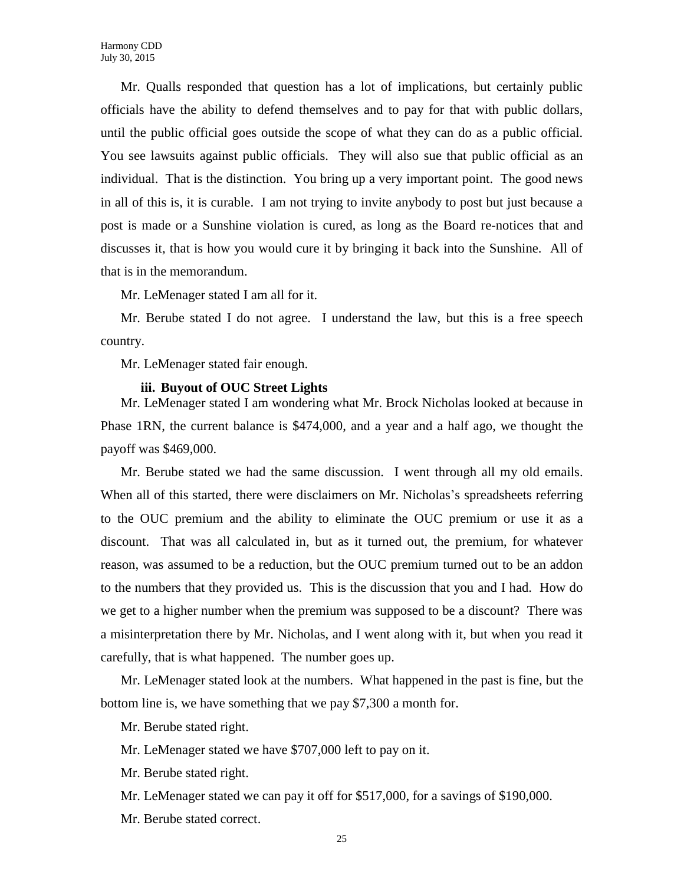Mr. Qualls responded that question has a lot of implications, but certainly public officials have the ability to defend themselves and to pay for that with public dollars, until the public official goes outside the scope of what they can do as a public official. You see lawsuits against public officials. They will also sue that public official as an individual. That is the distinction. You bring up a very important point. The good news in all of this is, it is curable. I am not trying to invite anybody to post but just because a post is made or a Sunshine violation is cured, as long as the Board re-notices that and discusses it, that is how you would cure it by bringing it back into the Sunshine. All of that is in the memorandum.

Mr. LeMenager stated I am all for it.

Mr. Berube stated I do not agree. I understand the law, but this is a free speech country.

Mr. LeMenager stated fair enough.

#### **iii. Buyout of OUC Street Lights**

Mr. LeMenager stated I am wondering what Mr. Brock Nicholas looked at because in Phase 1RN, the current balance is \$474,000, and a year and a half ago, we thought the payoff was \$469,000.

Mr. Berube stated we had the same discussion. I went through all my old emails. When all of this started, there were disclaimers on Mr. Nicholas's spreadsheets referring to the OUC premium and the ability to eliminate the OUC premium or use it as a discount. That was all calculated in, but as it turned out, the premium, for whatever reason, was assumed to be a reduction, but the OUC premium turned out to be an addon to the numbers that they provided us. This is the discussion that you and I had. How do we get to a higher number when the premium was supposed to be a discount? There was a misinterpretation there by Mr. Nicholas, and I went along with it, but when you read it carefully, that is what happened. The number goes up.

Mr. LeMenager stated look at the numbers. What happened in the past is fine, but the bottom line is, we have something that we pay \$7,300 a month for.

Mr. Berube stated right.

Mr. LeMenager stated we have \$707,000 left to pay on it.

Mr. Berube stated right.

Mr. LeMenager stated we can pay it off for \$517,000, for a savings of \$190,000.

Mr. Berube stated correct.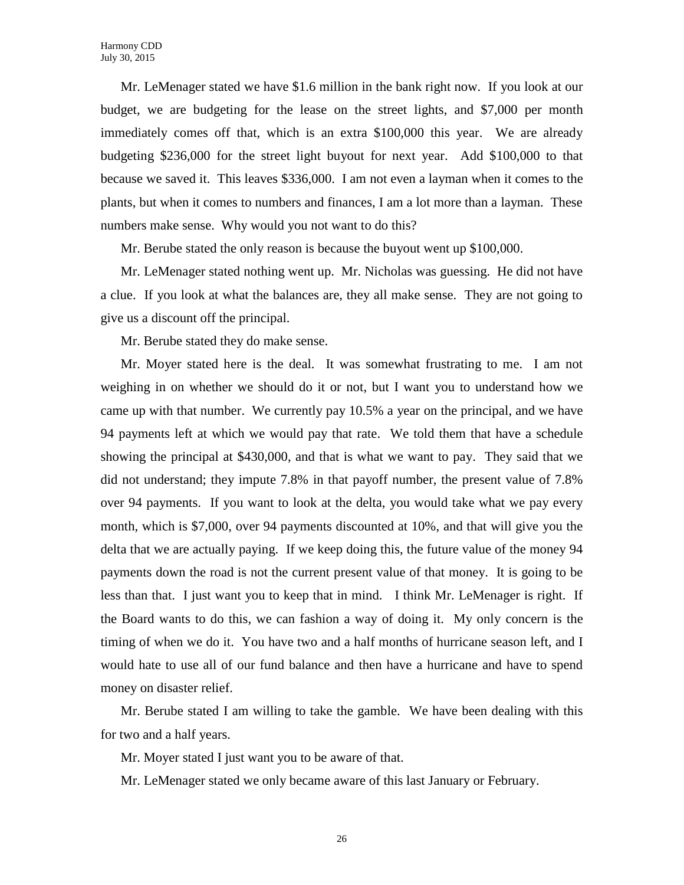Mr. LeMenager stated we have \$1.6 million in the bank right now. If you look at our budget, we are budgeting for the lease on the street lights, and \$7,000 per month immediately comes off that, which is an extra \$100,000 this year. We are already budgeting \$236,000 for the street light buyout for next year. Add \$100,000 to that because we saved it. This leaves \$336,000. I am not even a layman when it comes to the plants, but when it comes to numbers and finances, I am a lot more than a layman. These numbers make sense. Why would you not want to do this?

Mr. Berube stated the only reason is because the buyout went up \$100,000.

Mr. LeMenager stated nothing went up. Mr. Nicholas was guessing. He did not have a clue. If you look at what the balances are, they all make sense. They are not going to give us a discount off the principal.

Mr. Berube stated they do make sense.

Mr. Moyer stated here is the deal. It was somewhat frustrating to me. I am not weighing in on whether we should do it or not, but I want you to understand how we came up with that number. We currently pay 10.5% a year on the principal, and we have 94 payments left at which we would pay that rate. We told them that have a schedule showing the principal at \$430,000, and that is what we want to pay. They said that we did not understand; they impute 7.8% in that payoff number, the present value of 7.8% over 94 payments. If you want to look at the delta, you would take what we pay every month, which is \$7,000, over 94 payments discounted at 10%, and that will give you the delta that we are actually paying. If we keep doing this, the future value of the money 94 payments down the road is not the current present value of that money. It is going to be less than that. I just want you to keep that in mind. I think Mr. LeMenager is right. If the Board wants to do this, we can fashion a way of doing it. My only concern is the timing of when we do it. You have two and a half months of hurricane season left, and I would hate to use all of our fund balance and then have a hurricane and have to spend money on disaster relief.

Mr. Berube stated I am willing to take the gamble. We have been dealing with this for two and a half years.

Mr. Moyer stated I just want you to be aware of that.

Mr. LeMenager stated we only became aware of this last January or February.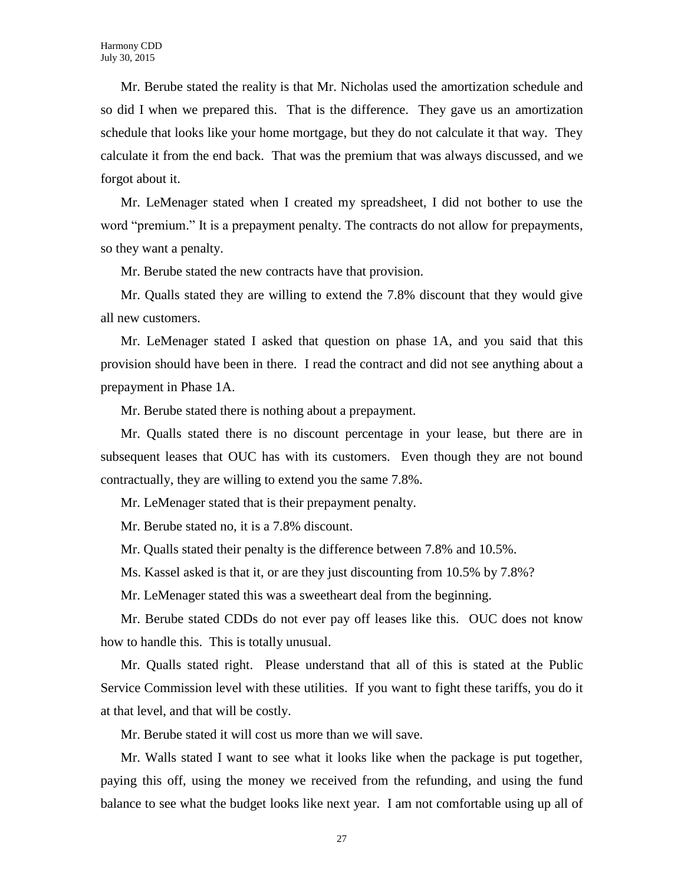Mr. Berube stated the reality is that Mr. Nicholas used the amortization schedule and so did I when we prepared this. That is the difference. They gave us an amortization schedule that looks like your home mortgage, but they do not calculate it that way. They calculate it from the end back. That was the premium that was always discussed, and we forgot about it.

Mr. LeMenager stated when I created my spreadsheet, I did not bother to use the word "premium." It is a prepayment penalty. The contracts do not allow for prepayments, so they want a penalty.

Mr. Berube stated the new contracts have that provision.

Mr. Qualls stated they are willing to extend the 7.8% discount that they would give all new customers.

Mr. LeMenager stated I asked that question on phase 1A, and you said that this provision should have been in there. I read the contract and did not see anything about a prepayment in Phase 1A.

Mr. Berube stated there is nothing about a prepayment.

Mr. Qualls stated there is no discount percentage in your lease, but there are in subsequent leases that OUC has with its customers. Even though they are not bound contractually, they are willing to extend you the same 7.8%.

Mr. LeMenager stated that is their prepayment penalty.

Mr. Berube stated no, it is a 7.8% discount.

Mr. Qualls stated their penalty is the difference between 7.8% and 10.5%.

Ms. Kassel asked is that it, or are they just discounting from 10.5% by 7.8%?

Mr. LeMenager stated this was a sweetheart deal from the beginning.

Mr. Berube stated CDDs do not ever pay off leases like this. OUC does not know how to handle this. This is totally unusual.

Mr. Qualls stated right. Please understand that all of this is stated at the Public Service Commission level with these utilities. If you want to fight these tariffs, you do it at that level, and that will be costly.

Mr. Berube stated it will cost us more than we will save.

Mr. Walls stated I want to see what it looks like when the package is put together, paying this off, using the money we received from the refunding, and using the fund balance to see what the budget looks like next year. I am not comfortable using up all of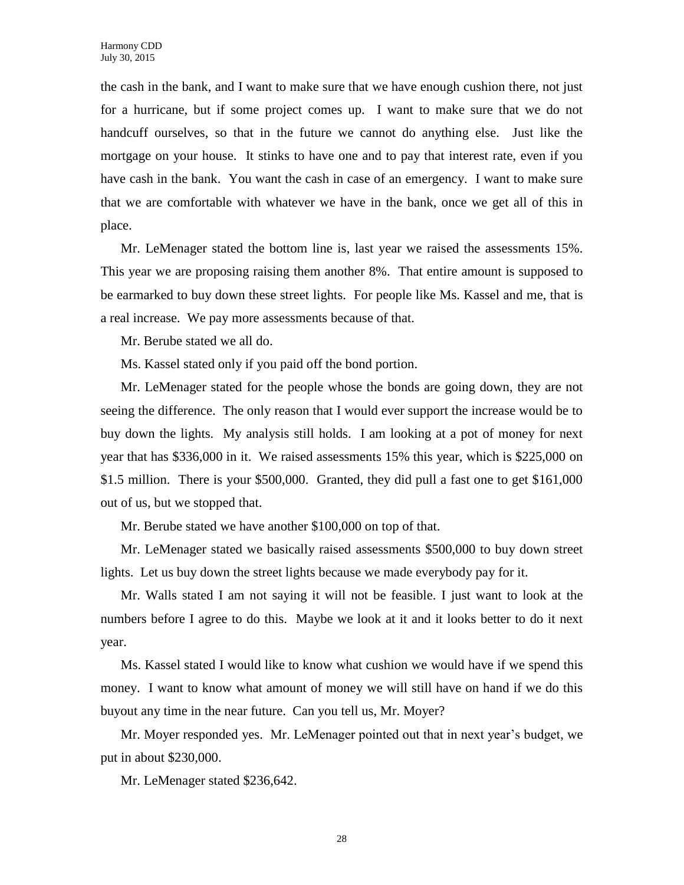the cash in the bank, and I want to make sure that we have enough cushion there, not just for a hurricane, but if some project comes up. I want to make sure that we do not handcuff ourselves, so that in the future we cannot do anything else. Just like the mortgage on your house. It stinks to have one and to pay that interest rate, even if you have cash in the bank. You want the cash in case of an emergency. I want to make sure that we are comfortable with whatever we have in the bank, once we get all of this in place.

Mr. LeMenager stated the bottom line is, last year we raised the assessments 15%. This year we are proposing raising them another 8%. That entire amount is supposed to be earmarked to buy down these street lights. For people like Ms. Kassel and me, that is a real increase. We pay more assessments because of that.

Mr. Berube stated we all do.

Ms. Kassel stated only if you paid off the bond portion.

Mr. LeMenager stated for the people whose the bonds are going down, they are not seeing the difference. The only reason that I would ever support the increase would be to buy down the lights. My analysis still holds. I am looking at a pot of money for next year that has \$336,000 in it. We raised assessments 15% this year, which is \$225,000 on \$1.5 million. There is your \$500,000. Granted, they did pull a fast one to get \$161,000 out of us, but we stopped that.

Mr. Berube stated we have another \$100,000 on top of that.

Mr. LeMenager stated we basically raised assessments \$500,000 to buy down street lights. Let us buy down the street lights because we made everybody pay for it.

Mr. Walls stated I am not saying it will not be feasible. I just want to look at the numbers before I agree to do this. Maybe we look at it and it looks better to do it next year.

Ms. Kassel stated I would like to know what cushion we would have if we spend this money. I want to know what amount of money we will still have on hand if we do this buyout any time in the near future. Can you tell us, Mr. Moyer?

Mr. Moyer responded yes. Mr. LeMenager pointed out that in next year's budget, we put in about \$230,000.

Mr. LeMenager stated \$236,642.

28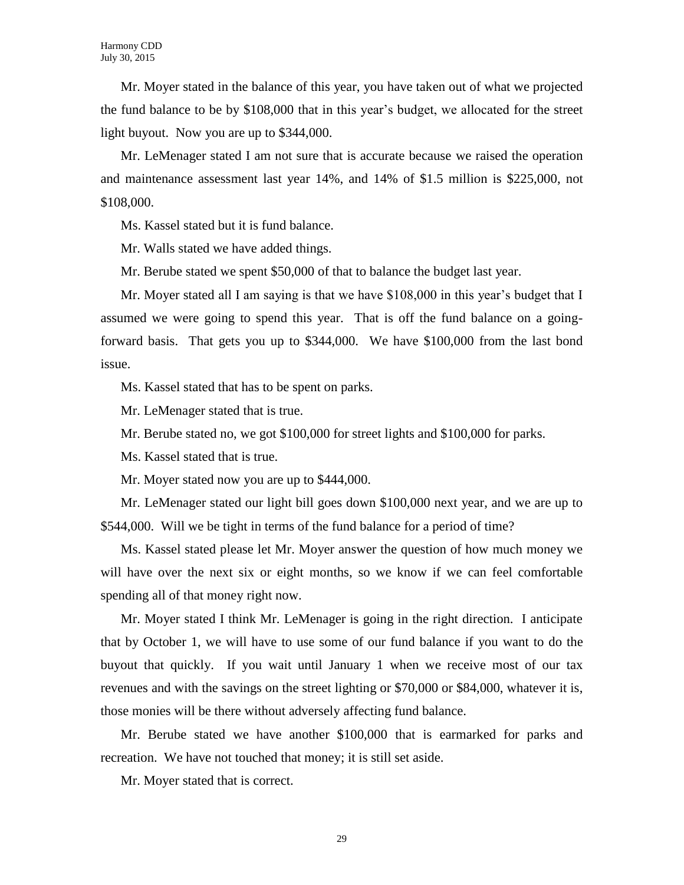Mr. Moyer stated in the balance of this year, you have taken out of what we projected the fund balance to be by \$108,000 that in this year's budget, we allocated for the street light buyout. Now you are up to \$344,000.

Mr. LeMenager stated I am not sure that is accurate because we raised the operation and maintenance assessment last year 14%, and 14% of \$1.5 million is \$225,000, not \$108,000.

Ms. Kassel stated but it is fund balance.

Mr. Walls stated we have added things.

Mr. Berube stated we spent \$50,000 of that to balance the budget last year.

Mr. Moyer stated all I am saying is that we have \$108,000 in this year's budget that I assumed we were going to spend this year. That is off the fund balance on a goingforward basis. That gets you up to \$344,000. We have \$100,000 from the last bond issue.

Ms. Kassel stated that has to be spent on parks.

Mr. LeMenager stated that is true.

Mr. Berube stated no, we got \$100,000 for street lights and \$100,000 for parks.

Ms. Kassel stated that is true.

Mr. Moyer stated now you are up to \$444,000.

Mr. LeMenager stated our light bill goes down \$100,000 next year, and we are up to \$544,000. Will we be tight in terms of the fund balance for a period of time?

Ms. Kassel stated please let Mr. Moyer answer the question of how much money we will have over the next six or eight months, so we know if we can feel comfortable spending all of that money right now.

Mr. Moyer stated I think Mr. LeMenager is going in the right direction. I anticipate that by October 1, we will have to use some of our fund balance if you want to do the buyout that quickly. If you wait until January 1 when we receive most of our tax revenues and with the savings on the street lighting or \$70,000 or \$84,000, whatever it is, those monies will be there without adversely affecting fund balance.

Mr. Berube stated we have another \$100,000 that is earmarked for parks and recreation. We have not touched that money; it is still set aside.

Mr. Moyer stated that is correct.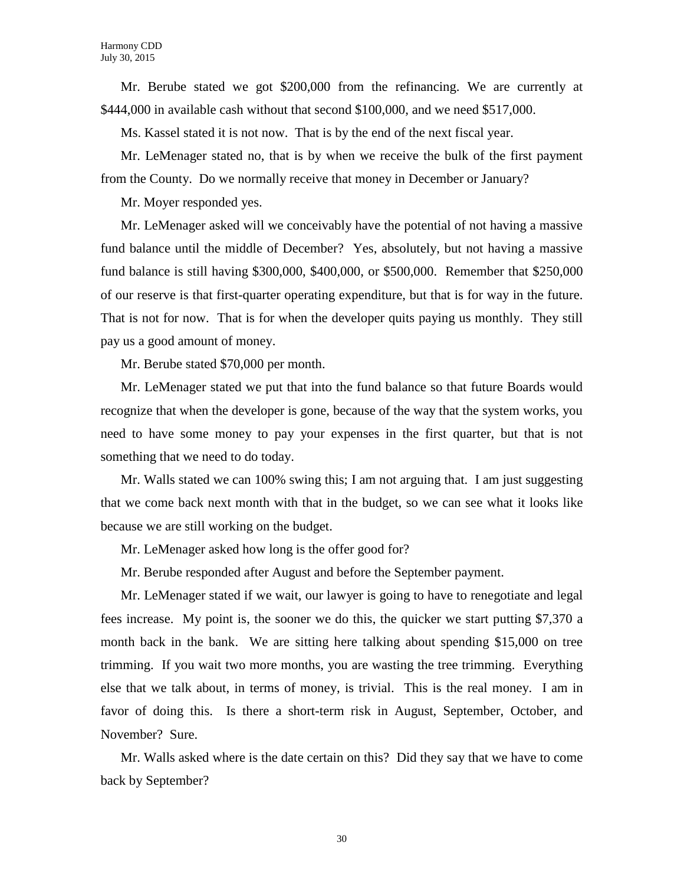Mr. Berube stated we got \$200,000 from the refinancing. We are currently at \$444,000 in available cash without that second \$100,000, and we need \$517,000.

Ms. Kassel stated it is not now. That is by the end of the next fiscal year.

Mr. LeMenager stated no, that is by when we receive the bulk of the first payment from the County. Do we normally receive that money in December or January?

Mr. Moyer responded yes.

Mr. LeMenager asked will we conceivably have the potential of not having a massive fund balance until the middle of December? Yes, absolutely, but not having a massive fund balance is still having \$300,000, \$400,000, or \$500,000. Remember that \$250,000 of our reserve is that first-quarter operating expenditure, but that is for way in the future. That is not for now. That is for when the developer quits paying us monthly. They still pay us a good amount of money.

Mr. Berube stated \$70,000 per month.

Mr. LeMenager stated we put that into the fund balance so that future Boards would recognize that when the developer is gone, because of the way that the system works, you need to have some money to pay your expenses in the first quarter, but that is not something that we need to do today.

Mr. Walls stated we can 100% swing this; I am not arguing that. I am just suggesting that we come back next month with that in the budget, so we can see what it looks like because we are still working on the budget.

Mr. LeMenager asked how long is the offer good for?

Mr. Berube responded after August and before the September payment.

Mr. LeMenager stated if we wait, our lawyer is going to have to renegotiate and legal fees increase. My point is, the sooner we do this, the quicker we start putting \$7,370 a month back in the bank. We are sitting here talking about spending \$15,000 on tree trimming. If you wait two more months, you are wasting the tree trimming. Everything else that we talk about, in terms of money, is trivial. This is the real money. I am in favor of doing this. Is there a short-term risk in August, September, October, and November? Sure.

Mr. Walls asked where is the date certain on this? Did they say that we have to come back by September?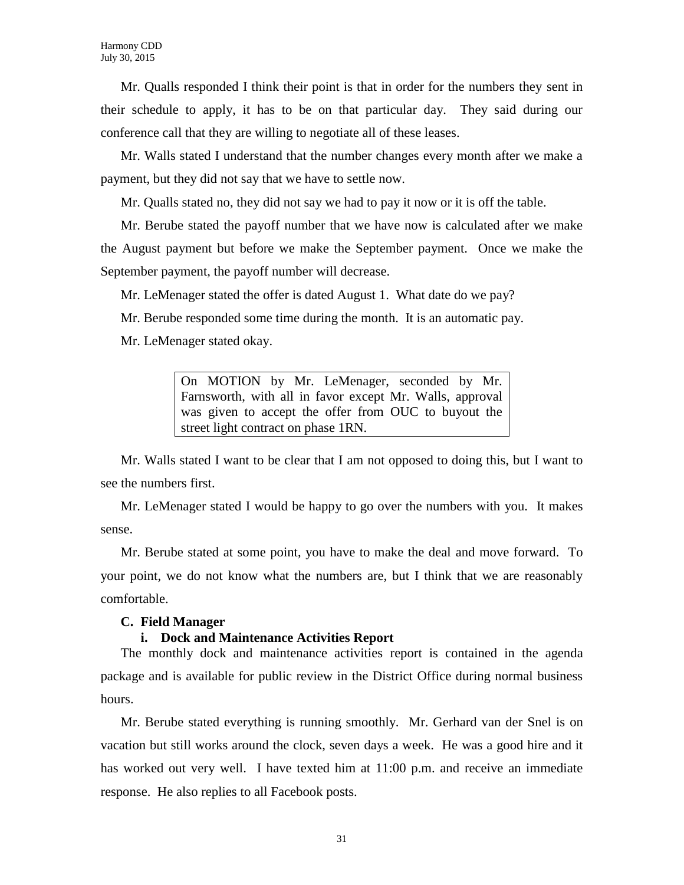Mr. Qualls responded I think their point is that in order for the numbers they sent in their schedule to apply, it has to be on that particular day. They said during our conference call that they are willing to negotiate all of these leases.

Mr. Walls stated I understand that the number changes every month after we make a payment, but they did not say that we have to settle now.

Mr. Qualls stated no, they did not say we had to pay it now or it is off the table.

Mr. Berube stated the payoff number that we have now is calculated after we make the August payment but before we make the September payment. Once we make the September payment, the payoff number will decrease.

Mr. LeMenager stated the offer is dated August 1. What date do we pay?

Mr. Berube responded some time during the month. It is an automatic pay.

Mr. LeMenager stated okay.

On MOTION by Mr. LeMenager, seconded by Mr. Farnsworth, with all in favor except Mr. Walls, approval was given to accept the offer from OUC to buyout the street light contract on phase 1RN.

Mr. Walls stated I want to be clear that I am not opposed to doing this, but I want to see the numbers first.

Mr. LeMenager stated I would be happy to go over the numbers with you. It makes sense.

Mr. Berube stated at some point, you have to make the deal and move forward. To your point, we do not know what the numbers are, but I think that we are reasonably comfortable.

#### **C. Field Manager**

#### **i. Dock and Maintenance Activities Report**

The monthly dock and maintenance activities report is contained in the agenda package and is available for public review in the District Office during normal business hours.

Mr. Berube stated everything is running smoothly. Mr. Gerhard van der Snel is on vacation but still works around the clock, seven days a week. He was a good hire and it has worked out very well. I have texted him at 11:00 p.m. and receive an immediate response. He also replies to all Facebook posts.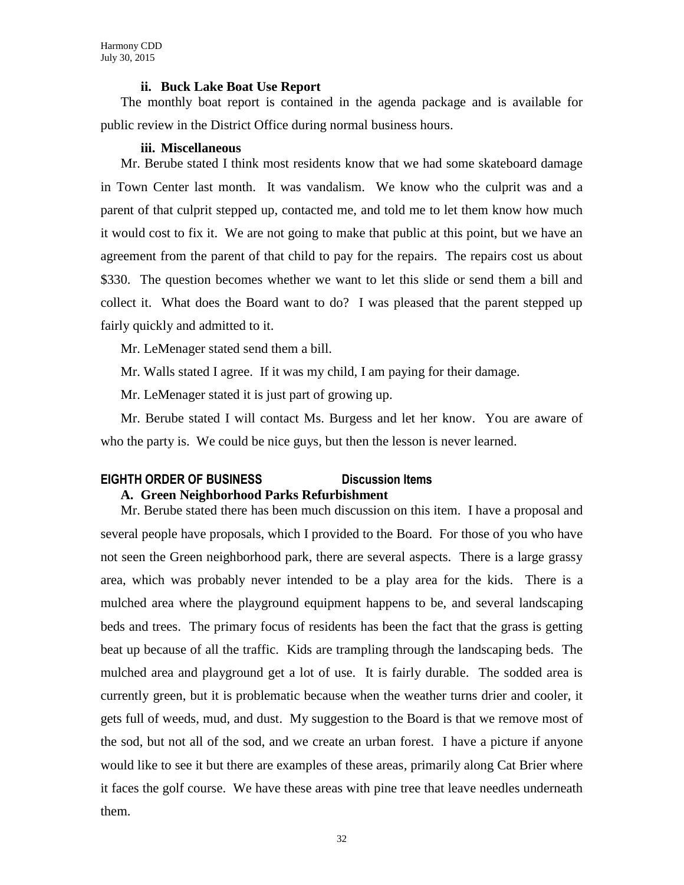#### **ii. Buck Lake Boat Use Report**

The monthly boat report is contained in the agenda package and is available for public review in the District Office during normal business hours.

#### **iii. Miscellaneous**

Mr. Berube stated I think most residents know that we had some skateboard damage in Town Center last month. It was vandalism. We know who the culprit was and a parent of that culprit stepped up, contacted me, and told me to let them know how much it would cost to fix it. We are not going to make that public at this point, but we have an agreement from the parent of that child to pay for the repairs. The repairs cost us about \$330. The question becomes whether we want to let this slide or send them a bill and collect it. What does the Board want to do? I was pleased that the parent stepped up fairly quickly and admitted to it.

Mr. LeMenager stated send them a bill.

Mr. Walls stated I agree. If it was my child, I am paying for their damage.

Mr. LeMenager stated it is just part of growing up.

Mr. Berube stated I will contact Ms. Burgess and let her know. You are aware of who the party is. We could be nice guys, but then the lesson is never learned.

# **EIGHTH ORDER OF BUSINESS Discussion Items**

**A. Green Neighborhood Parks Refurbishment**

Mr. Berube stated there has been much discussion on this item. I have a proposal and several people have proposals, which I provided to the Board. For those of you who have not seen the Green neighborhood park, there are several aspects. There is a large grassy area, which was probably never intended to be a play area for the kids. There is a mulched area where the playground equipment happens to be, and several landscaping beds and trees. The primary focus of residents has been the fact that the grass is getting beat up because of all the traffic. Kids are trampling through the landscaping beds. The mulched area and playground get a lot of use. It is fairly durable. The sodded area is currently green, but it is problematic because when the weather turns drier and cooler, it gets full of weeds, mud, and dust. My suggestion to the Board is that we remove most of the sod, but not all of the sod, and we create an urban forest. I have a picture if anyone would like to see it but there are examples of these areas, primarily along Cat Brier where it faces the golf course. We have these areas with pine tree that leave needles underneath them.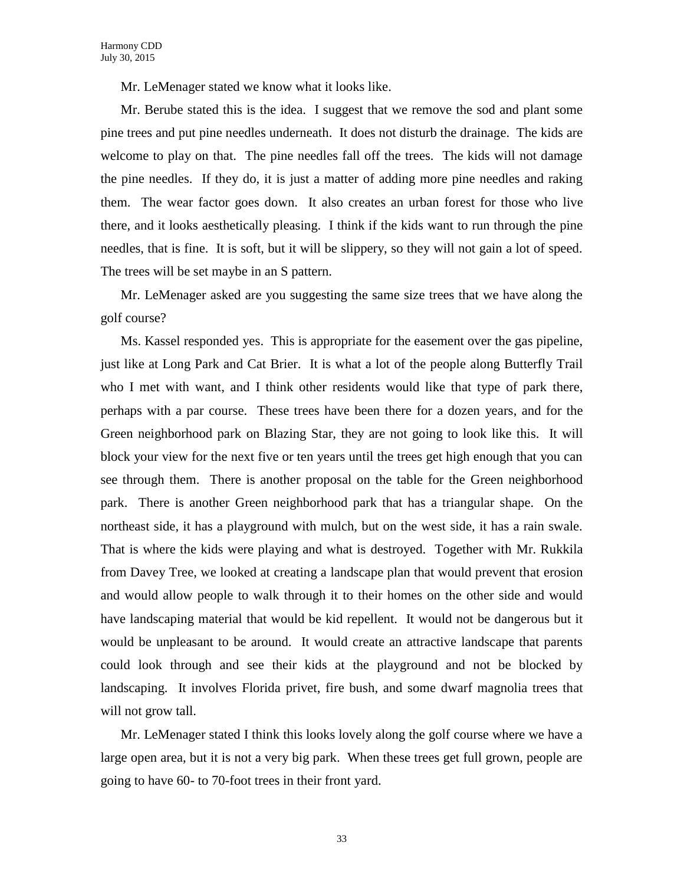Mr. LeMenager stated we know what it looks like.

Mr. Berube stated this is the idea. I suggest that we remove the sod and plant some pine trees and put pine needles underneath. It does not disturb the drainage. The kids are welcome to play on that. The pine needles fall off the trees. The kids will not damage the pine needles. If they do, it is just a matter of adding more pine needles and raking them. The wear factor goes down. It also creates an urban forest for those who live there, and it looks aesthetically pleasing. I think if the kids want to run through the pine needles, that is fine. It is soft, but it will be slippery, so they will not gain a lot of speed. The trees will be set maybe in an S pattern.

Mr. LeMenager asked are you suggesting the same size trees that we have along the golf course?

Ms. Kassel responded yes. This is appropriate for the easement over the gas pipeline, just like at Long Park and Cat Brier. It is what a lot of the people along Butterfly Trail who I met with want, and I think other residents would like that type of park there, perhaps with a par course. These trees have been there for a dozen years, and for the Green neighborhood park on Blazing Star, they are not going to look like this. It will block your view for the next five or ten years until the trees get high enough that you can see through them. There is another proposal on the table for the Green neighborhood park. There is another Green neighborhood park that has a triangular shape. On the northeast side, it has a playground with mulch, but on the west side, it has a rain swale. That is where the kids were playing and what is destroyed. Together with Mr. Rukkila from Davey Tree, we looked at creating a landscape plan that would prevent that erosion and would allow people to walk through it to their homes on the other side and would have landscaping material that would be kid repellent. It would not be dangerous but it would be unpleasant to be around. It would create an attractive landscape that parents could look through and see their kids at the playground and not be blocked by landscaping. It involves Florida privet, fire bush, and some dwarf magnolia trees that will not grow tall.

Mr. LeMenager stated I think this looks lovely along the golf course where we have a large open area, but it is not a very big park. When these trees get full grown, people are going to have 60- to 70-foot trees in their front yard.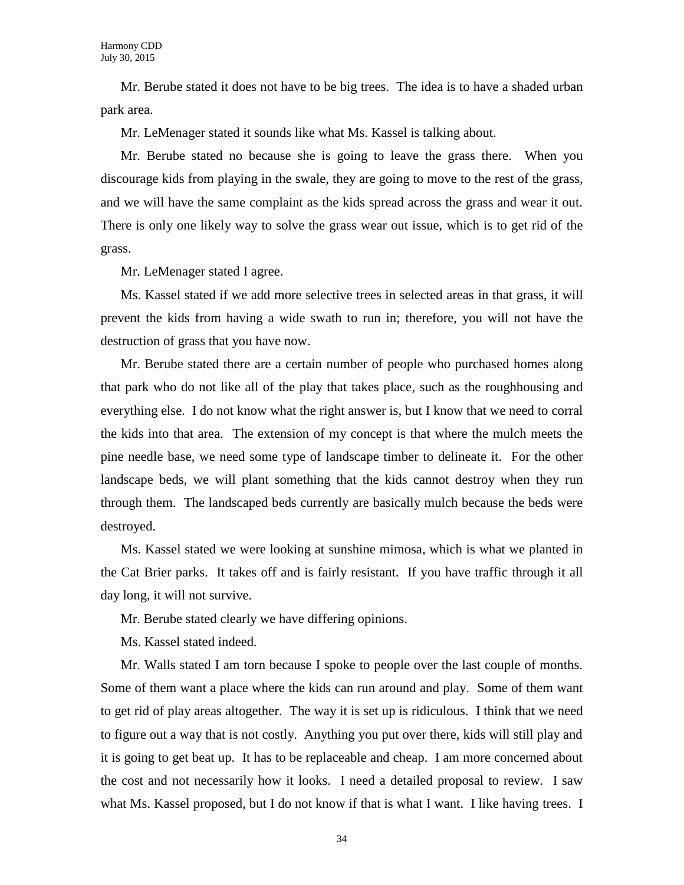Mr. Berube stated it does not have to be big trees. The idea is to have a shaded urban park area.

Mr. LeMenager stated it sounds like what Ms. Kassel is talking about.

Mr. Berube stated no because she is going to leave the grass there. When you discourage kids from playing in the swale, they are going to move to the rest of the grass, and we will have the same complaint as the kids spread across the grass and wear it out. There is only one likely way to solve the grass wear out issue, which is to get rid of the grass.

Mr. LeMenager stated I agree.

Ms. Kassel stated if we add more selective trees in selected areas in that grass, it will prevent the kids from having a wide swath to run in; therefore, you will not have the destruction of grass that you have now.

Mr. Berube stated there are a certain number of people who purchased homes along that park who do not like all of the play that takes place, such as the roughhousing and everything else. I do not know what the right answer is, but I know that we need to corral the kids into that area. The extension of my concept is that where the mulch meets the pine needle base, we need some type of landscape timber to delineate it. For the other landscape beds, we will plant something that the kids cannot destroy when they run through them. The landscaped beds currently are basically mulch because the beds were destroyed.

Ms. Kassel stated we were looking at sunshine mimosa, which is what we planted in the Cat Brier parks. It takes off and is fairly resistant. If you have traffic through it all day long, it will not survive.

Mr. Berube stated clearly we have differing opinions.

Ms. Kassel stated indeed.

Mr. Walls stated I am torn because I spoke to people over the last couple of months. Some of them want a place where the kids can run around and play. Some of them want to get rid of play areas altogether. The way it is set up is ridiculous. I think that we need to figure out a way that is not costly. Anything you put over there, kids will still play and it is going to get beat up. It has to be replaceable and cheap. I am more concerned about the cost and not necessarily how it looks. I need a detailed proposal to review. I saw what Ms. Kassel proposed, but I do not know if that is what I want. I like having trees. I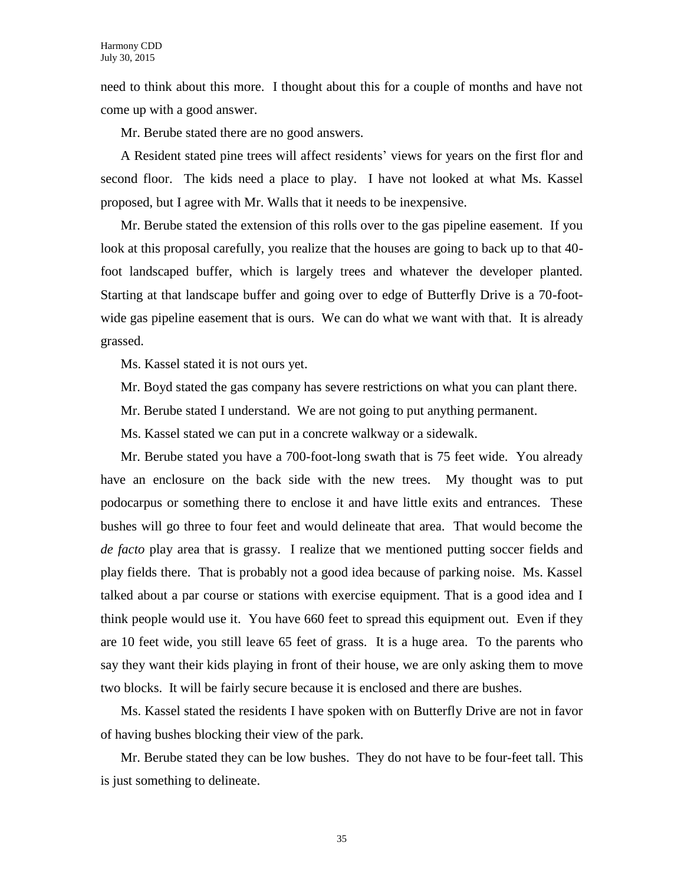need to think about this more. I thought about this for a couple of months and have not come up with a good answer.

Mr. Berube stated there are no good answers.

A Resident stated pine trees will affect residents' views for years on the first flor and second floor. The kids need a place to play. I have not looked at what Ms. Kassel proposed, but I agree with Mr. Walls that it needs to be inexpensive.

Mr. Berube stated the extension of this rolls over to the gas pipeline easement. If you look at this proposal carefully, you realize that the houses are going to back up to that 40 foot landscaped buffer, which is largely trees and whatever the developer planted. Starting at that landscape buffer and going over to edge of Butterfly Drive is a 70-footwide gas pipeline easement that is ours. We can do what we want with that. It is already grassed.

Ms. Kassel stated it is not ours yet.

- Mr. Boyd stated the gas company has severe restrictions on what you can plant there.
- Mr. Berube stated I understand. We are not going to put anything permanent.
- Ms. Kassel stated we can put in a concrete walkway or a sidewalk.

Mr. Berube stated you have a 700-foot-long swath that is 75 feet wide. You already have an enclosure on the back side with the new trees. My thought was to put podocarpus or something there to enclose it and have little exits and entrances. These bushes will go three to four feet and would delineate that area. That would become the *de facto* play area that is grassy. I realize that we mentioned putting soccer fields and play fields there. That is probably not a good idea because of parking noise. Ms. Kassel talked about a par course or stations with exercise equipment. That is a good idea and I think people would use it. You have 660 feet to spread this equipment out. Even if they are 10 feet wide, you still leave 65 feet of grass. It is a huge area. To the parents who say they want their kids playing in front of their house, we are only asking them to move two blocks. It will be fairly secure because it is enclosed and there are bushes.

Ms. Kassel stated the residents I have spoken with on Butterfly Drive are not in favor of having bushes blocking their view of the park.

Mr. Berube stated they can be low bushes. They do not have to be four-feet tall. This is just something to delineate.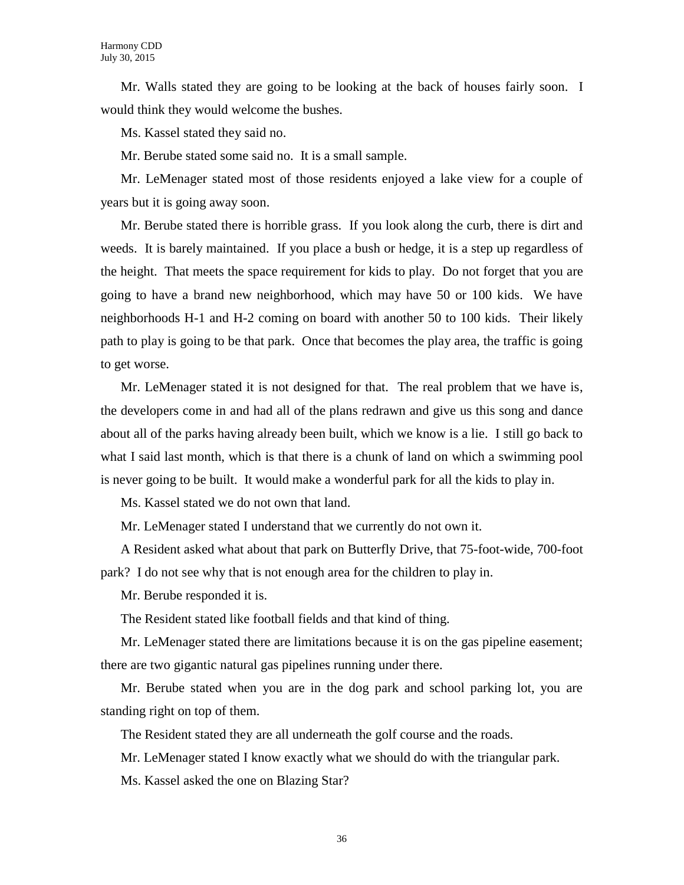Mr. Walls stated they are going to be looking at the back of houses fairly soon. I would think they would welcome the bushes.

Ms. Kassel stated they said no.

Mr. Berube stated some said no. It is a small sample.

Mr. LeMenager stated most of those residents enjoyed a lake view for a couple of years but it is going away soon.

Mr. Berube stated there is horrible grass. If you look along the curb, there is dirt and weeds. It is barely maintained. If you place a bush or hedge, it is a step up regardless of the height. That meets the space requirement for kids to play. Do not forget that you are going to have a brand new neighborhood, which may have 50 or 100 kids. We have neighborhoods H-1 and H-2 coming on board with another 50 to 100 kids. Their likely path to play is going to be that park. Once that becomes the play area, the traffic is going to get worse.

Mr. LeMenager stated it is not designed for that. The real problem that we have is, the developers come in and had all of the plans redrawn and give us this song and dance about all of the parks having already been built, which we know is a lie. I still go back to what I said last month, which is that there is a chunk of land on which a swimming pool is never going to be built. It would make a wonderful park for all the kids to play in.

Ms. Kassel stated we do not own that land.

Mr. LeMenager stated I understand that we currently do not own it.

A Resident asked what about that park on Butterfly Drive, that 75-foot-wide, 700-foot park? I do not see why that is not enough area for the children to play in.

Mr. Berube responded it is.

The Resident stated like football fields and that kind of thing.

Mr. LeMenager stated there are limitations because it is on the gas pipeline easement; there are two gigantic natural gas pipelines running under there.

Mr. Berube stated when you are in the dog park and school parking lot, you are standing right on top of them.

The Resident stated they are all underneath the golf course and the roads.

Mr. LeMenager stated I know exactly what we should do with the triangular park.

Ms. Kassel asked the one on Blazing Star?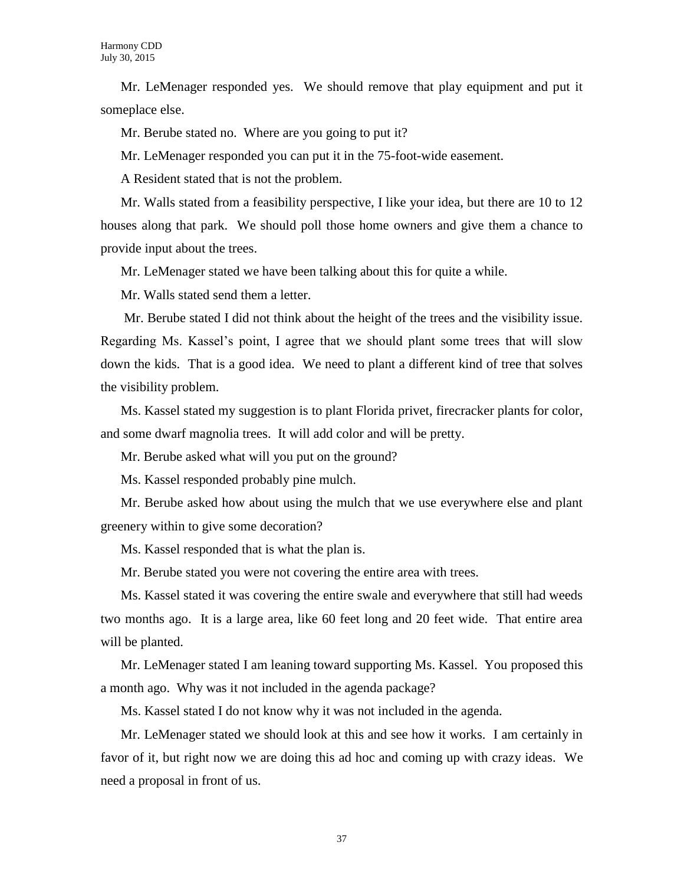Mr. LeMenager responded yes. We should remove that play equipment and put it someplace else.

Mr. Berube stated no. Where are you going to put it?

Mr. LeMenager responded you can put it in the 75-foot-wide easement.

A Resident stated that is not the problem.

Mr. Walls stated from a feasibility perspective, I like your idea, but there are 10 to 12 houses along that park. We should poll those home owners and give them a chance to provide input about the trees.

Mr. LeMenager stated we have been talking about this for quite a while.

Mr. Walls stated send them a letter.

Mr. Berube stated I did not think about the height of the trees and the visibility issue. Regarding Ms. Kassel's point, I agree that we should plant some trees that will slow down the kids. That is a good idea. We need to plant a different kind of tree that solves the visibility problem.

Ms. Kassel stated my suggestion is to plant Florida privet, firecracker plants for color, and some dwarf magnolia trees. It will add color and will be pretty.

Mr. Berube asked what will you put on the ground?

Ms. Kassel responded probably pine mulch.

Mr. Berube asked how about using the mulch that we use everywhere else and plant greenery within to give some decoration?

Ms. Kassel responded that is what the plan is.

Mr. Berube stated you were not covering the entire area with trees.

Ms. Kassel stated it was covering the entire swale and everywhere that still had weeds two months ago. It is a large area, like 60 feet long and 20 feet wide. That entire area will be planted.

Mr. LeMenager stated I am leaning toward supporting Ms. Kassel. You proposed this a month ago. Why was it not included in the agenda package?

Ms. Kassel stated I do not know why it was not included in the agenda.

Mr. LeMenager stated we should look at this and see how it works. I am certainly in favor of it, but right now we are doing this ad hoc and coming up with crazy ideas. We need a proposal in front of us.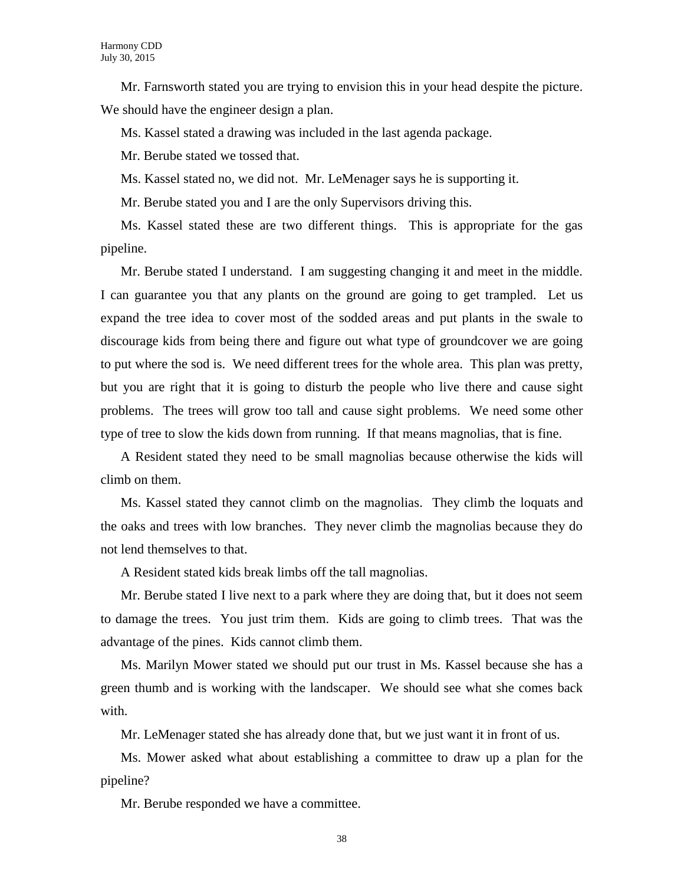Mr. Farnsworth stated you are trying to envision this in your head despite the picture. We should have the engineer design a plan.

Ms. Kassel stated a drawing was included in the last agenda package.

Mr. Berube stated we tossed that.

Ms. Kassel stated no, we did not. Mr. LeMenager says he is supporting it.

Mr. Berube stated you and I are the only Supervisors driving this.

Ms. Kassel stated these are two different things. This is appropriate for the gas pipeline.

Mr. Berube stated I understand. I am suggesting changing it and meet in the middle. I can guarantee you that any plants on the ground are going to get trampled. Let us expand the tree idea to cover most of the sodded areas and put plants in the swale to discourage kids from being there and figure out what type of groundcover we are going to put where the sod is. We need different trees for the whole area. This plan was pretty, but you are right that it is going to disturb the people who live there and cause sight problems. The trees will grow too tall and cause sight problems. We need some other type of tree to slow the kids down from running. If that means magnolias, that is fine.

A Resident stated they need to be small magnolias because otherwise the kids will climb on them.

Ms. Kassel stated they cannot climb on the magnolias. They climb the loquats and the oaks and trees with low branches. They never climb the magnolias because they do not lend themselves to that.

A Resident stated kids break limbs off the tall magnolias.

Mr. Berube stated I live next to a park where they are doing that, but it does not seem to damage the trees. You just trim them. Kids are going to climb trees. That was the advantage of the pines. Kids cannot climb them.

Ms. Marilyn Mower stated we should put our trust in Ms. Kassel because she has a green thumb and is working with the landscaper. We should see what she comes back with.

Mr. LeMenager stated she has already done that, but we just want it in front of us.

Ms. Mower asked what about establishing a committee to draw up a plan for the pipeline?

Mr. Berube responded we have a committee.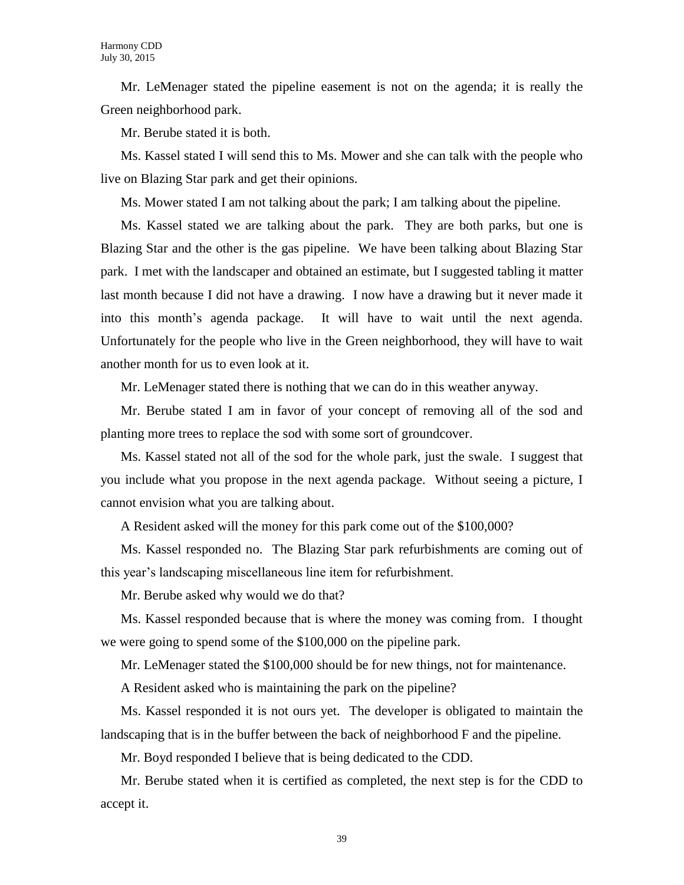Mr. LeMenager stated the pipeline easement is not on the agenda; it is really the Green neighborhood park.

Mr. Berube stated it is both.

Ms. Kassel stated I will send this to Ms. Mower and she can talk with the people who live on Blazing Star park and get their opinions.

Ms. Mower stated I am not talking about the park; I am talking about the pipeline.

Ms. Kassel stated we are talking about the park. They are both parks, but one is Blazing Star and the other is the gas pipeline. We have been talking about Blazing Star park. I met with the landscaper and obtained an estimate, but I suggested tabling it matter last month because I did not have a drawing. I now have a drawing but it never made it into this month's agenda package. It will have to wait until the next agenda. Unfortunately for the people who live in the Green neighborhood, they will have to wait another month for us to even look at it.

Mr. LeMenager stated there is nothing that we can do in this weather anyway.

Mr. Berube stated I am in favor of your concept of removing all of the sod and planting more trees to replace the sod with some sort of groundcover.

Ms. Kassel stated not all of the sod for the whole park, just the swale. I suggest that you include what you propose in the next agenda package. Without seeing a picture, I cannot envision what you are talking about.

A Resident asked will the money for this park come out of the \$100,000?

Ms. Kassel responded no. The Blazing Star park refurbishments are coming out of this year's landscaping miscellaneous line item for refurbishment.

Mr. Berube asked why would we do that?

Ms. Kassel responded because that is where the money was coming from. I thought we were going to spend some of the \$100,000 on the pipeline park.

Mr. LeMenager stated the \$100,000 should be for new things, not for maintenance.

A Resident asked who is maintaining the park on the pipeline?

Ms. Kassel responded it is not ours yet. The developer is obligated to maintain the landscaping that is in the buffer between the back of neighborhood F and the pipeline.

Mr. Boyd responded I believe that is being dedicated to the CDD.

Mr. Berube stated when it is certified as completed, the next step is for the CDD to accept it.

39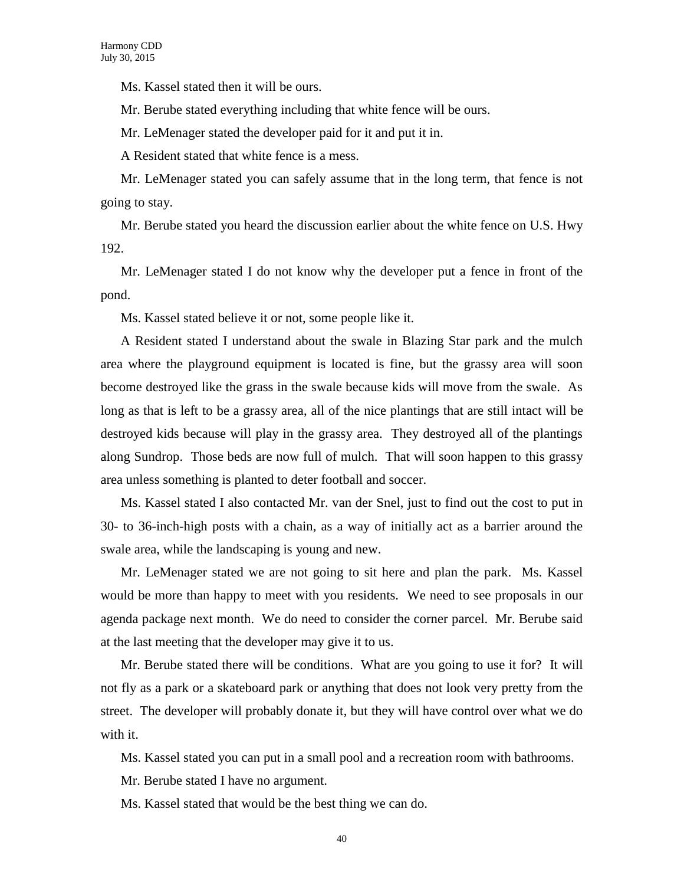Ms. Kassel stated then it will be ours.

Mr. Berube stated everything including that white fence will be ours.

Mr. LeMenager stated the developer paid for it and put it in.

A Resident stated that white fence is a mess.

Mr. LeMenager stated you can safely assume that in the long term, that fence is not going to stay.

Mr. Berube stated you heard the discussion earlier about the white fence on U.S. Hwy 192.

Mr. LeMenager stated I do not know why the developer put a fence in front of the pond.

Ms. Kassel stated believe it or not, some people like it.

A Resident stated I understand about the swale in Blazing Star park and the mulch area where the playground equipment is located is fine, but the grassy area will soon become destroyed like the grass in the swale because kids will move from the swale. As long as that is left to be a grassy area, all of the nice plantings that are still intact will be destroyed kids because will play in the grassy area. They destroyed all of the plantings along Sundrop. Those beds are now full of mulch. That will soon happen to this grassy area unless something is planted to deter football and soccer.

Ms. Kassel stated I also contacted Mr. van der Snel, just to find out the cost to put in 30- to 36-inch-high posts with a chain, as a way of initially act as a barrier around the swale area, while the landscaping is young and new.

Mr. LeMenager stated we are not going to sit here and plan the park. Ms. Kassel would be more than happy to meet with you residents. We need to see proposals in our agenda package next month. We do need to consider the corner parcel. Mr. Berube said at the last meeting that the developer may give it to us.

Mr. Berube stated there will be conditions. What are you going to use it for? It will not fly as a park or a skateboard park or anything that does not look very pretty from the street. The developer will probably donate it, but they will have control over what we do with it.

Ms. Kassel stated you can put in a small pool and a recreation room with bathrooms.

Mr. Berube stated I have no argument.

Ms. Kassel stated that would be the best thing we can do.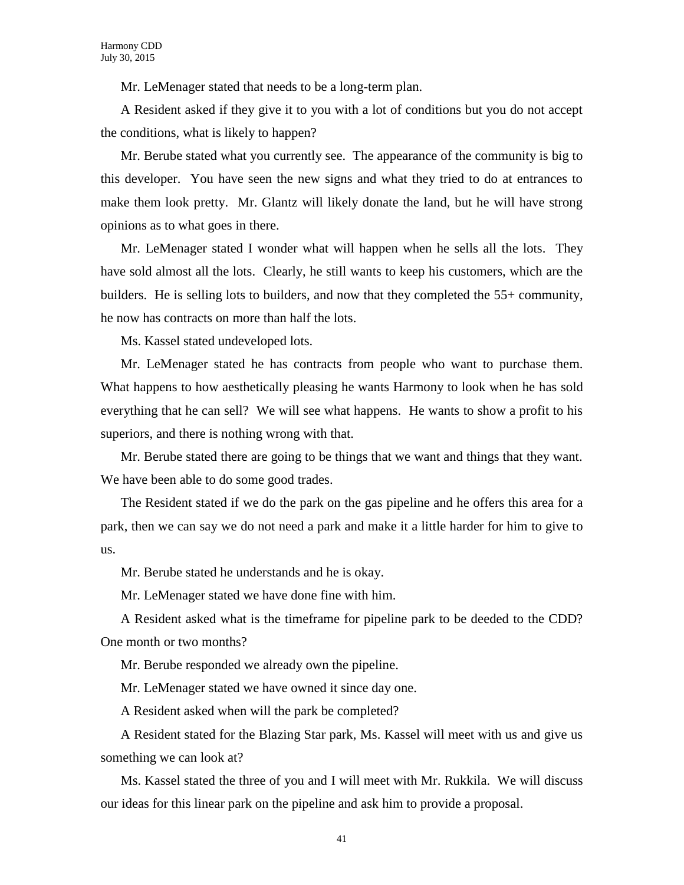Mr. LeMenager stated that needs to be a long-term plan.

A Resident asked if they give it to you with a lot of conditions but you do not accept the conditions, what is likely to happen?

Mr. Berube stated what you currently see. The appearance of the community is big to this developer. You have seen the new signs and what they tried to do at entrances to make them look pretty. Mr. Glantz will likely donate the land, but he will have strong opinions as to what goes in there.

Mr. LeMenager stated I wonder what will happen when he sells all the lots. They have sold almost all the lots. Clearly, he still wants to keep his customers, which are the builders. He is selling lots to builders, and now that they completed the 55+ community, he now has contracts on more than half the lots.

Ms. Kassel stated undeveloped lots.

Mr. LeMenager stated he has contracts from people who want to purchase them. What happens to how aesthetically pleasing he wants Harmony to look when he has sold everything that he can sell? We will see what happens. He wants to show a profit to his superiors, and there is nothing wrong with that.

Mr. Berube stated there are going to be things that we want and things that they want. We have been able to do some good trades.

The Resident stated if we do the park on the gas pipeline and he offers this area for a park, then we can say we do not need a park and make it a little harder for him to give to us.

Mr. Berube stated he understands and he is okay.

Mr. LeMenager stated we have done fine with him.

A Resident asked what is the timeframe for pipeline park to be deeded to the CDD? One month or two months?

Mr. Berube responded we already own the pipeline.

Mr. LeMenager stated we have owned it since day one.

A Resident asked when will the park be completed?

A Resident stated for the Blazing Star park, Ms. Kassel will meet with us and give us something we can look at?

Ms. Kassel stated the three of you and I will meet with Mr. Rukkila. We will discuss our ideas for this linear park on the pipeline and ask him to provide a proposal.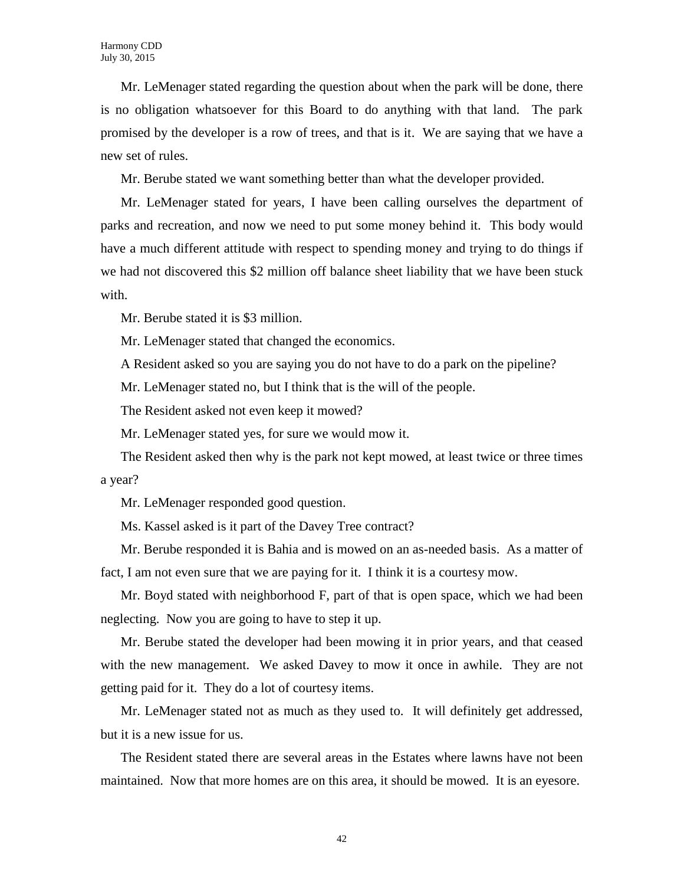Mr. LeMenager stated regarding the question about when the park will be done, there is no obligation whatsoever for this Board to do anything with that land. The park promised by the developer is a row of trees, and that is it. We are saying that we have a new set of rules.

Mr. Berube stated we want something better than what the developer provided.

Mr. LeMenager stated for years, I have been calling ourselves the department of parks and recreation, and now we need to put some money behind it. This body would have a much different attitude with respect to spending money and trying to do things if we had not discovered this \$2 million off balance sheet liability that we have been stuck with.

Mr. Berube stated it is \$3 million.

Mr. LeMenager stated that changed the economics.

A Resident asked so you are saying you do not have to do a park on the pipeline?

Mr. LeMenager stated no, but I think that is the will of the people.

The Resident asked not even keep it mowed?

Mr. LeMenager stated yes, for sure we would mow it.

The Resident asked then why is the park not kept mowed, at least twice or three times a year?

Mr. LeMenager responded good question.

Ms. Kassel asked is it part of the Davey Tree contract?

Mr. Berube responded it is Bahia and is mowed on an as-needed basis. As a matter of fact, I am not even sure that we are paying for it. I think it is a courtesy mow.

Mr. Boyd stated with neighborhood F, part of that is open space, which we had been neglecting. Now you are going to have to step it up.

Mr. Berube stated the developer had been mowing it in prior years, and that ceased with the new management. We asked Davey to mow it once in awhile. They are not getting paid for it. They do a lot of courtesy items.

Mr. LeMenager stated not as much as they used to. It will definitely get addressed, but it is a new issue for us.

The Resident stated there are several areas in the Estates where lawns have not been maintained. Now that more homes are on this area, it should be mowed. It is an eyesore.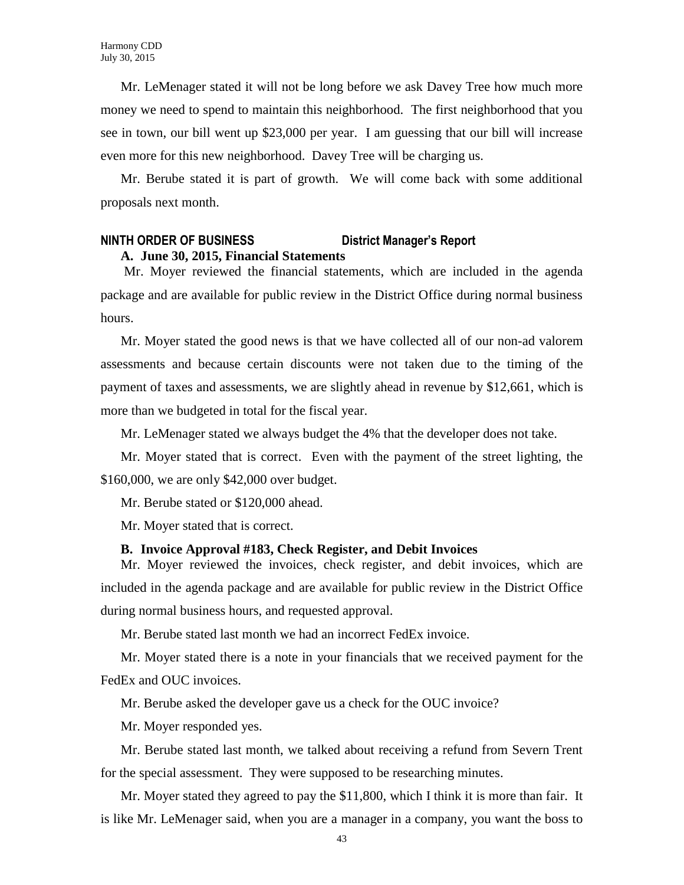Mr. LeMenager stated it will not be long before we ask Davey Tree how much more money we need to spend to maintain this neighborhood. The first neighborhood that you see in town, our bill went up \$23,000 per year. I am guessing that our bill will increase even more for this new neighborhood. Davey Tree will be charging us.

Mr. Berube stated it is part of growth. We will come back with some additional proposals next month.

#### **NINTH ORDER OF BUSINESS District Manager's Report A. June 30, 2015, Financial Statements**

Mr. Moyer reviewed the financial statements, which are included in the agenda package and are available for public review in the District Office during normal business hours.

Mr. Moyer stated the good news is that we have collected all of our non-ad valorem assessments and because certain discounts were not taken due to the timing of the payment of taxes and assessments, we are slightly ahead in revenue by \$12,661, which is more than we budgeted in total for the fiscal year.

Mr. LeMenager stated we always budget the 4% that the developer does not take.

Mr. Moyer stated that is correct. Even with the payment of the street lighting, the \$160,000, we are only \$42,000 over budget.

Mr. Berube stated or \$120,000 ahead.

Mr. Moyer stated that is correct.

#### **B. Invoice Approval #183, Check Register, and Debit Invoices**

Mr. Moyer reviewed the invoices, check register, and debit invoices, which are included in the agenda package and are available for public review in the District Office during normal business hours, and requested approval.

Mr. Berube stated last month we had an incorrect FedEx invoice.

Mr. Moyer stated there is a note in your financials that we received payment for the FedEx and OUC invoices.

Mr. Berube asked the developer gave us a check for the OUC invoice?

Mr. Moyer responded yes.

Mr. Berube stated last month, we talked about receiving a refund from Severn Trent for the special assessment. They were supposed to be researching minutes.

Mr. Moyer stated they agreed to pay the \$11,800, which I think it is more than fair. It is like Mr. LeMenager said, when you are a manager in a company, you want the boss to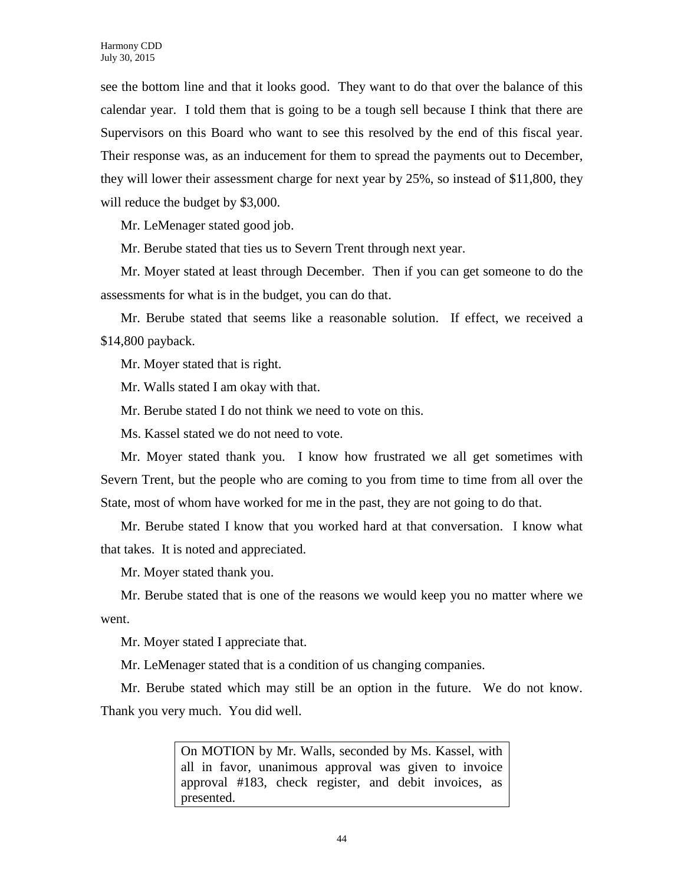see the bottom line and that it looks good. They want to do that over the balance of this calendar year. I told them that is going to be a tough sell because I think that there are Supervisors on this Board who want to see this resolved by the end of this fiscal year. Their response was, as an inducement for them to spread the payments out to December, they will lower their assessment charge for next year by 25%, so instead of \$11,800, they will reduce the budget by \$3,000.

Mr. LeMenager stated good job.

Mr. Berube stated that ties us to Severn Trent through next year.

Mr. Moyer stated at least through December. Then if you can get someone to do the assessments for what is in the budget, you can do that.

Mr. Berube stated that seems like a reasonable solution. If effect, we received a \$14,800 payback.

Mr. Moyer stated that is right.

Mr. Walls stated I am okay with that.

Mr. Berube stated I do not think we need to vote on this.

Ms. Kassel stated we do not need to vote.

Mr. Moyer stated thank you. I know how frustrated we all get sometimes with Severn Trent, but the people who are coming to you from time to time from all over the State, most of whom have worked for me in the past, they are not going to do that.

Mr. Berube stated I know that you worked hard at that conversation. I know what that takes. It is noted and appreciated.

Mr. Moyer stated thank you.

Mr. Berube stated that is one of the reasons we would keep you no matter where we went.

Mr. Moyer stated I appreciate that.

Mr. LeMenager stated that is a condition of us changing companies.

Mr. Berube stated which may still be an option in the future. We do not know. Thank you very much. You did well.

> On MOTION by Mr. Walls, seconded by Ms. Kassel, with all in favor, unanimous approval was given to invoice approval #183, check register, and debit invoices, as presented.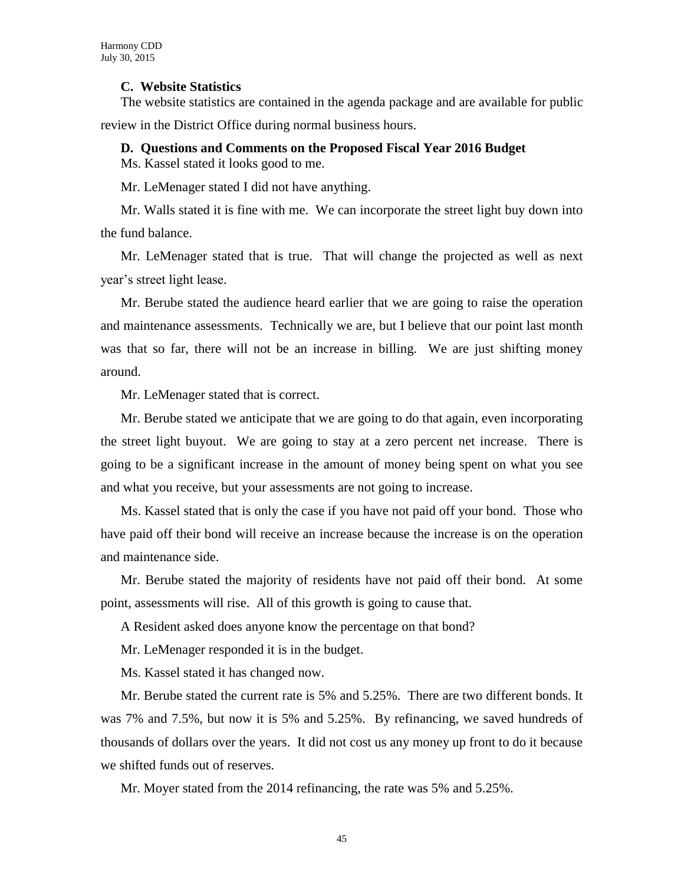#### **C. Website Statistics**

The website statistics are contained in the agenda package and are available for public review in the District Office during normal business hours.

#### **D. Questions and Comments on the Proposed Fiscal Year 2016 Budget**

Ms. Kassel stated it looks good to me.

Mr. LeMenager stated I did not have anything.

Mr. Walls stated it is fine with me. We can incorporate the street light buy down into the fund balance.

Mr. LeMenager stated that is true. That will change the projected as well as next year's street light lease.

Mr. Berube stated the audience heard earlier that we are going to raise the operation and maintenance assessments. Technically we are, but I believe that our point last month was that so far, there will not be an increase in billing. We are just shifting money around.

Mr. LeMenager stated that is correct.

Mr. Berube stated we anticipate that we are going to do that again, even incorporating the street light buyout. We are going to stay at a zero percent net increase. There is going to be a significant increase in the amount of money being spent on what you see and what you receive, but your assessments are not going to increase.

Ms. Kassel stated that is only the case if you have not paid off your bond. Those who have paid off their bond will receive an increase because the increase is on the operation and maintenance side.

Mr. Berube stated the majority of residents have not paid off their bond. At some point, assessments will rise. All of this growth is going to cause that.

A Resident asked does anyone know the percentage on that bond?

Mr. LeMenager responded it is in the budget.

Ms. Kassel stated it has changed now.

Mr. Berube stated the current rate is 5% and 5.25%. There are two different bonds. It was 7% and 7.5%, but now it is 5% and 5.25%. By refinancing, we saved hundreds of thousands of dollars over the years. It did not cost us any money up front to do it because we shifted funds out of reserves.

Mr. Moyer stated from the 2014 refinancing, the rate was 5% and 5.25%.